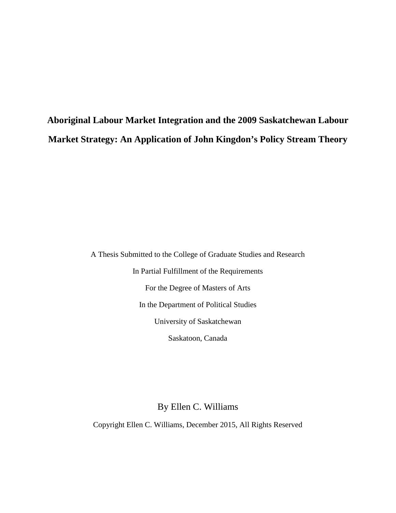**Aboriginal Labour Market Integration and the 2009 Saskatchewan Labour Market Strategy: An Application of John Kingdon's Policy Stream Theory**

> A Thesis Submitted to the College of Graduate Studies and Research In Partial Fulfillment of the Requirements For the Degree of Masters of Arts In the Department of Political Studies University of Saskatchewan Saskatoon, Canada

> > By Ellen C. Williams

Copyright Ellen C. Williams, December 2015, All Rights Reserved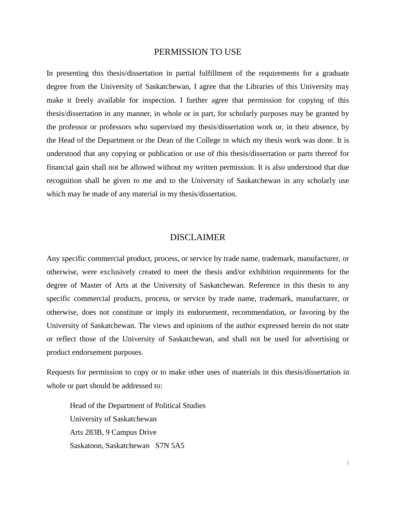### PERMISSION TO USE

<span id="page-1-0"></span>In presenting this thesis/dissertation in partial fulfillment of the requirements for a graduate degree from the University of Saskatchewan, I agree that the Libraries of this University may make it freely available for inspection. I further agree that permission for copying of this thesis/dissertation in any manner, in whole or in part, for scholarly purposes may be granted by the professor or professors who supervised my thesis/dissertation work or, in their absence, by the Head of the Department or the Dean of the College in which my thesis work was done. It is understood that any copying or publication or use of this thesis/dissertation or parts thereof for financial gain shall not be allowed without my written permission. It is also understood that due recognition shall be given to me and to the University of Saskatchewan in any scholarly use which may be made of any material in my thesis/dissertation.

# DISCLAIMER

<span id="page-1-1"></span>Any specific commercial product, process, or service by trade name, trademark, manufacturer, or otherwise, were exclusively created to meet the thesis and/or exhibition requirements for the degree of Master of Arts at the University of Saskatchewan. Reference in this thesis to any specific commercial products, process, or service by trade name, trademark, manufacturer, or otherwise, does not constitute or imply its endorsement, recommendation, or favoring by the University of Saskatchewan. The views and opinions of the author expressed herein do not state or reflect those of the University of Saskatchewan, and shall not be used for advertising or product endorsement purposes.

Requests for permission to copy or to make other uses of materials in this thesis/dissertation in whole or part should be addressed to:

Head of the Department of Political Studies University of Saskatchewan Arts 283B, 9 Campus Drive Saskatoon, Saskatchewan S7N 5A5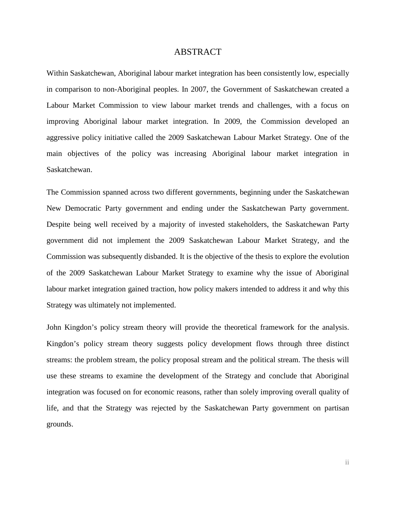## ABSTRACT

<span id="page-2-0"></span>Within Saskatchewan, Aboriginal labour market integration has been consistently low, especially in comparison to non-Aboriginal peoples. In 2007, the Government of Saskatchewan created a Labour Market Commission to view labour market trends and challenges, with a focus on improving Aboriginal labour market integration. In 2009, the Commission developed an aggressive policy initiative called the 2009 Saskatchewan Labour Market Strategy. One of the main objectives of the policy was increasing Aboriginal labour market integration in Saskatchewan.

The Commission spanned across two different governments, beginning under the Saskatchewan New Democratic Party government and ending under the Saskatchewan Party government. Despite being well received by a majority of invested stakeholders, the Saskatchewan Party government did not implement the 2009 Saskatchewan Labour Market Strategy, and the Commission was subsequently disbanded. It is the objective of the thesis to explore the evolution of the 2009 Saskatchewan Labour Market Strategy to examine why the issue of Aboriginal labour market integration gained traction, how policy makers intended to address it and why this Strategy was ultimately not implemented.

John Kingdon's policy stream theory will provide the theoretical framework for the analysis. Kingdon's policy stream theory suggests policy development flows through three distinct streams: the problem stream, the policy proposal stream and the political stream. The thesis will use these streams to examine the development of the Strategy and conclude that Aboriginal integration was focused on for economic reasons, rather than solely improving overall quality of life, and that the Strategy was rejected by the Saskatchewan Party government on partisan grounds.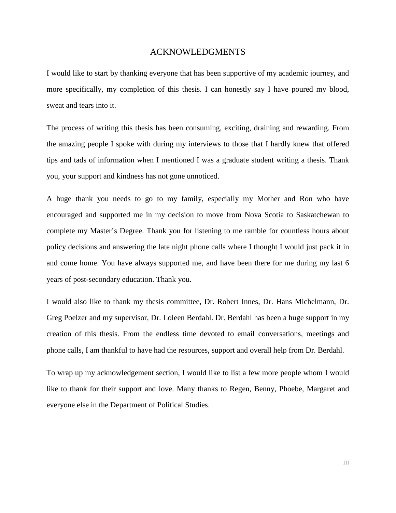## ACKNOWLEDGMENTS

<span id="page-3-0"></span>I would like to start by thanking everyone that has been supportive of my academic journey, and more specifically, my completion of this thesis. I can honestly say I have poured my blood, sweat and tears into it.

The process of writing this thesis has been consuming, exciting, draining and rewarding. From the amazing people I spoke with during my interviews to those that I hardly knew that offered tips and tads of information when I mentioned I was a graduate student writing a thesis. Thank you, your support and kindness has not gone unnoticed.

A huge thank you needs to go to my family, especially my Mother and Ron who have encouraged and supported me in my decision to move from Nova Scotia to Saskatchewan to complete my Master's Degree. Thank you for listening to me ramble for countless hours about policy decisions and answering the late night phone calls where I thought I would just pack it in and come home. You have always supported me, and have been there for me during my last 6 years of post-secondary education. Thank you.

I would also like to thank my thesis committee, Dr. Robert Innes, Dr. Hans Michelmann, Dr. Greg Poelzer and my supervisor, Dr. Loleen Berdahl. Dr. Berdahl has been a huge support in my creation of this thesis. From the endless time devoted to email conversations, meetings and phone calls, I am thankful to have had the resources, support and overall help from Dr. Berdahl.

To wrap up my acknowledgement section, I would like to list a few more people whom I would like to thank for their support and love. Many thanks to Regen, Benny, Phoebe, Margaret and everyone else in the Department of Political Studies.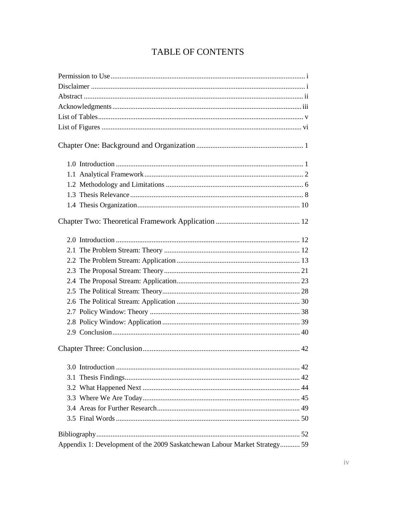# TABLE OF CONTENTS

| Appendix 1: Development of the 2009 Saskatchewan Labour Market Strategy 59 |
|----------------------------------------------------------------------------|
|                                                                            |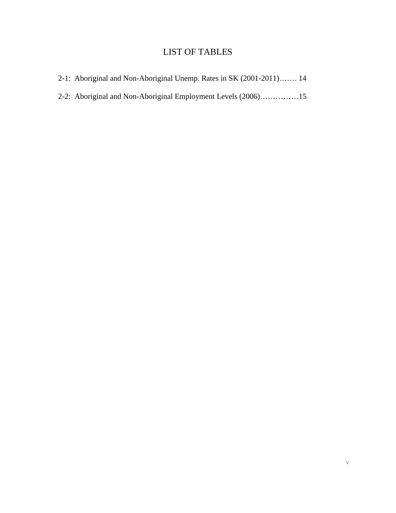# LIST OF TABLES

<span id="page-5-0"></span>

| 2-1: Aboriginal and Non-Aboriginal Unemp. Rates in SK (2001-2011) 14 |  |
|----------------------------------------------------------------------|--|
| 2-2: Aboriginal and Non-Aboriginal Employment Levels (2006)15        |  |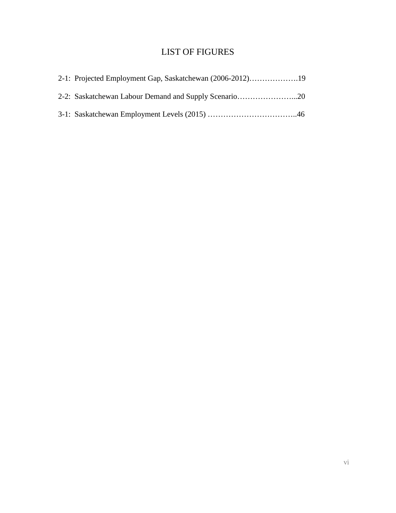# LIST OF FIGURES

<span id="page-6-0"></span>

| 2-1: Projected Employment Gap, Saskatchewan (2006-2012)19 |  |
|-----------------------------------------------------------|--|
| 2-2: Saskatchewan Labour Demand and Supply Scenario20     |  |
|                                                           |  |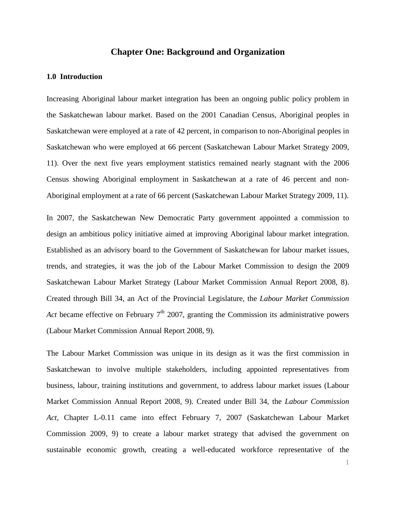# **Chapter One: Background and Organization**

### <span id="page-7-1"></span><span id="page-7-0"></span>**1.0 Introduction**

Increasing Aboriginal labour market integration has been an ongoing public policy problem in the Saskatchewan labour market. Based on the 2001 Canadian Census, Aboriginal peoples in Saskatchewan were employed at a rate of 42 percent, in comparison to non-Aboriginal peoples in Saskatchewan who were employed at 66 percent (Saskatchewan Labour Market Strategy 2009, 11). Over the next five years employment statistics remained nearly stagnant with the 2006 Census showing Aboriginal employment in Saskatchewan at a rate of 46 percent and non-Aboriginal employment at a rate of 66 percent (Saskatchewan Labour Market Strategy 2009, 11).

In 2007, the Saskatchewan New Democratic Party government appointed a commission to design an ambitious policy initiative aimed at improving Aboriginal labour market integration. Established as an advisory board to the Government of Saskatchewan for labour market issues, trends, and strategies, it was the job of the Labour Market Commission to design the 2009 Saskatchewan Labour Market Strategy (Labour Market Commission Annual Report 2008, 8). Created through Bill 34, an Act of the Provincial Legislature, the *Labour Market Commission Act* became effective on February 7<sup>th</sup> 2007, granting the Commission its administrative powers (Labour Market Commission Annual Report 2008, 9).

The Labour Market Commission was unique in its design as it was the first commission in Saskatchewan to involve multiple stakeholders, including appointed representatives from business, labour, training institutions and government, to address labour market issues (Labour Market Commission Annual Report 2008, 9). Created under Bill 34, the *Labour Commission Act*, Chapter L-0.11 came into effect February 7, 2007 (Saskatchewan Labour Market Commission 2009, 9) to create a labour market strategy that advised the government on sustainable economic growth, creating a well-educated workforce representative of the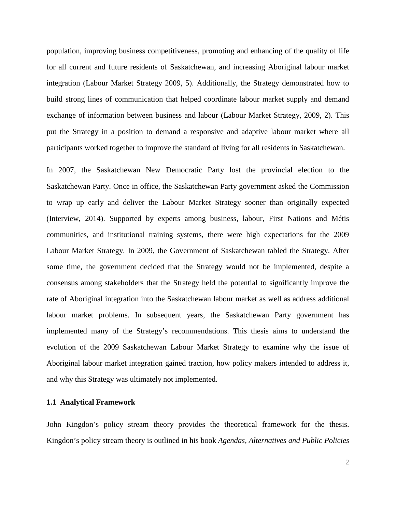population, improving business competitiveness, promoting and enhancing of the quality of life for all current and future residents of Saskatchewan, and increasing Aboriginal labour market integration (Labour Market Strategy 2009, 5). Additionally, the Strategy demonstrated how to build strong lines of communication that helped coordinate labour market supply and demand exchange of information between business and labour (Labour Market Strategy, 2009, 2). This put the Strategy in a position to demand a responsive and adaptive labour market where all participants worked together to improve the standard of living for all residents in Saskatchewan.

In 2007, the Saskatchewan New Democratic Party lost the provincial election to the Saskatchewan Party. Once in office, the Saskatchewan Party government asked the Commission to wrap up early and deliver the Labour Market Strategy sooner than originally expected (Interview, 2014). Supported by experts among business, labour, First Nations and Métis communities, and institutional training systems, there were high expectations for the 2009 Labour Market Strategy. In 2009, the Government of Saskatchewan tabled the Strategy. After some time, the government decided that the Strategy would not be implemented, despite a consensus among stakeholders that the Strategy held the potential to significantly improve the rate of Aboriginal integration into the Saskatchewan labour market as well as address additional labour market problems. In subsequent years, the Saskatchewan Party government has implemented many of the Strategy's recommendations. This thesis aims to understand the evolution of the 2009 Saskatchewan Labour Market Strategy to examine why the issue of Aboriginal labour market integration gained traction, how policy makers intended to address it, and why this Strategy was ultimately not implemented.

### <span id="page-8-0"></span>**1.1 Analytical Framework**

John Kingdon's policy stream theory provides the theoretical framework for the thesis. Kingdon's policy stream theory is outlined in his book *Agendas, Alternatives and Public Policies*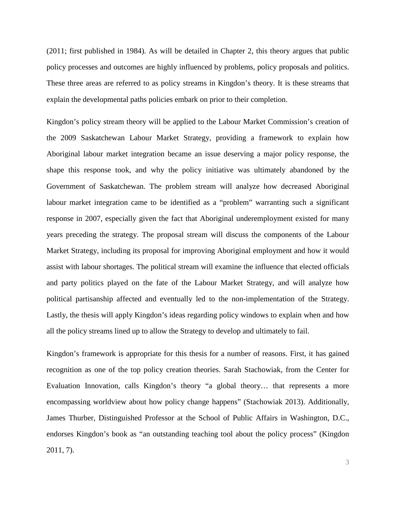(2011; first published in 1984). As will be detailed in Chapter 2, this theory argues that public policy processes and outcomes are highly influenced by problems, policy proposals and politics. These three areas are referred to as policy streams in Kingdon's theory. It is these streams that explain the developmental paths policies embark on prior to their completion.

Kingdon's policy stream theory will be applied to the Labour Market Commission's creation of the 2009 Saskatchewan Labour Market Strategy, providing a framework to explain how Aboriginal labour market integration became an issue deserving a major policy response, the shape this response took, and why the policy initiative was ultimately abandoned by the Government of Saskatchewan. The problem stream will analyze how decreased Aboriginal labour market integration came to be identified as a "problem" warranting such a significant response in 2007, especially given the fact that Aboriginal underemployment existed for many years preceding the strategy. The proposal stream will discuss the components of the Labour Market Strategy, including its proposal for improving Aboriginal employment and how it would assist with labour shortages. The political stream will examine the influence that elected officials and party politics played on the fate of the Labour Market Strategy, and will analyze how political partisanship affected and eventually led to the non-implementation of the Strategy. Lastly, the thesis will apply Kingdon's ideas regarding policy windows to explain when and how all the policy streams lined up to allow the Strategy to develop and ultimately to fail.

Kingdon's framework is appropriate for this thesis for a number of reasons. First, it has gained recognition as one of the top policy creation theories. Sarah Stachowiak, from the Center for Evaluation Innovation, calls Kingdon's theory "a global theory… that represents a more encompassing worldview about how policy change happens" (Stachowiak 2013). Additionally, James Thurber, Distinguished Professor at the School of Public Affairs in Washington, D.C., endorses Kingdon's book as "an outstanding teaching tool about the policy process" (Kingdon 2011, 7).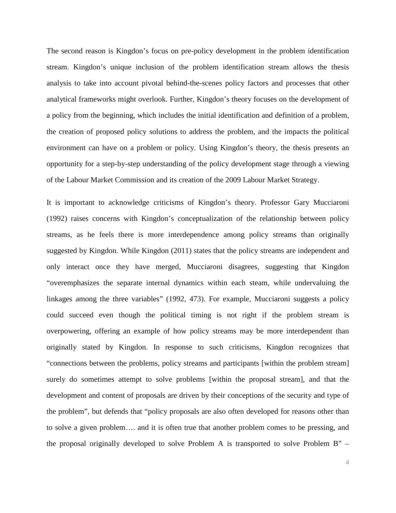The second reason is Kingdon's focus on pre-policy development in the problem identification stream. Kingdon's unique inclusion of the problem identification stream allows the thesis analysis to take into account pivotal behind-the-scenes policy factors and processes that other analytical frameworks might overlook. Further, Kingdon's theory focuses on the development of a policy from the beginning, which includes the initial identification and definition of a problem, the creation of proposed policy solutions to address the problem, and the impacts the political environment can have on a problem or policy. Using Kingdon's theory, the thesis presents an opportunity for a step-by-step understanding of the policy development stage through a viewing of the Labour Market Commission and its creation of the 2009 Labour Market Strategy.

It is important to acknowledge criticisms of Kingdon's theory. Professor Gary Mucciaroni (1992) raises concerns with Kingdon's conceptualization of the relationship between policy streams, as he feels there is more interdependence among policy streams than originally suggested by Kingdon. While Kingdon (2011) states that the policy streams are independent and only interact once they have merged, Mucciaroni disagrees, suggesting that Kingdon "overemphasizes the separate internal dynamics within each steam, while undervaluing the linkages among the three variables" (1992, 473). For example, Mucciaroni suggests a policy could succeed even though the political timing is not right if the problem stream is overpowering, offering an example of how policy streams may be more interdependent than originally stated by Kingdon. In response to such criticisms, Kingdon recognizes that "connections between the problems, policy streams and participants [within the problem stream] surely do sometimes attempt to solve problems [within the proposal stream], and that the development and content of proposals are driven by their conceptions of the security and type of the problem", but defends that "policy proposals are also often developed for reasons other than to solve a given problem…. and it is often true that another problem comes to be pressing, and the proposal originally developed to solve Problem A is transported to solve Problem B" –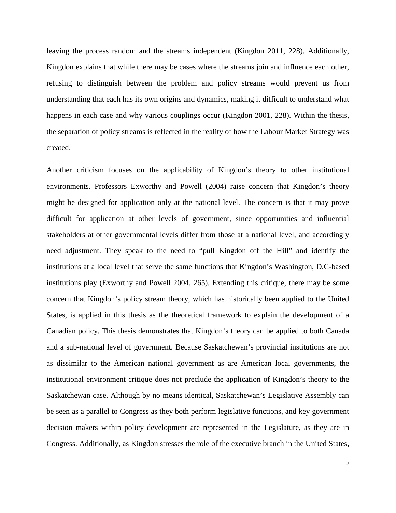leaving the process random and the streams independent (Kingdon 2011, 228). Additionally, Kingdon explains that while there may be cases where the streams join and influence each other, refusing to distinguish between the problem and policy streams would prevent us from understanding that each has its own origins and dynamics, making it difficult to understand what happens in each case and why various couplings occur (Kingdon 2001, 228). Within the thesis, the separation of policy streams is reflected in the reality of how the Labour Market Strategy was created.

Another criticism focuses on the applicability of Kingdon's theory to other institutional environments. Professors Exworthy and Powell (2004) raise concern that Kingdon's theory might be designed for application only at the national level. The concern is that it may prove difficult for application at other levels of government, since opportunities and influential stakeholders at other governmental levels differ from those at a national level, and accordingly need adjustment. They speak to the need to "pull Kingdon off the Hill" and identify the institutions at a local level that serve the same functions that Kingdon's Washington, D.C-based institutions play (Exworthy and Powell 2004, 265). Extending this critique, there may be some concern that Kingdon's policy stream theory, which has historically been applied to the United States, is applied in this thesis as the theoretical framework to explain the development of a Canadian policy. This thesis demonstrates that Kingdon's theory can be applied to both Canada and a sub-national level of government. Because Saskatchewan's provincial institutions are not as dissimilar to the American national government as are American local governments, the institutional environment critique does not preclude the application of Kingdon's theory to the Saskatchewan case. Although by no means identical, Saskatchewan's Legislative Assembly can be seen as a parallel to Congress as they both perform legislative functions, and key government decision makers within policy development are represented in the Legislature, as they are in Congress. Additionally, as Kingdon stresses the role of the executive branch in the United States,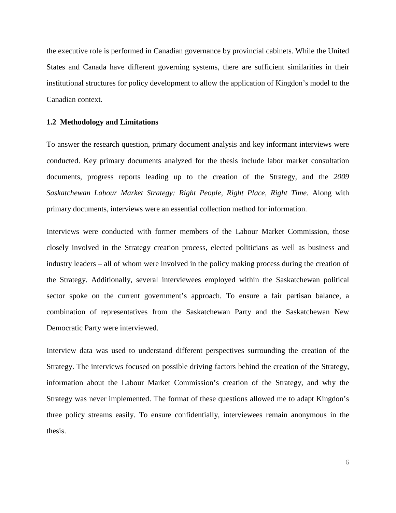the executive role is performed in Canadian governance by provincial cabinets. While the United States and Canada have different governing systems, there are sufficient similarities in their institutional structures for policy development to allow the application of Kingdon's model to the Canadian context.

### <span id="page-12-0"></span>**1.2 Methodology and Limitations**

To answer the research question, primary document analysis and key informant interviews were conducted. Key primary documents analyzed for the thesis include labor market consultation documents, progress reports leading up to the creation of the Strategy, and the *2009 Saskatchewan Labour Market Strategy: Right People, Right Place, Right Time*. Along with primary documents, interviews were an essential collection method for information.

Interviews were conducted with former members of the Labour Market Commission, those closely involved in the Strategy creation process, elected politicians as well as business and industry leaders – all of whom were involved in the policy making process during the creation of the Strategy. Additionally, several interviewees employed within the Saskatchewan political sector spoke on the current government's approach. To ensure a fair partisan balance, a combination of representatives from the Saskatchewan Party and the Saskatchewan New Democratic Party were interviewed.

Interview data was used to understand different perspectives surrounding the creation of the Strategy. The interviews focused on possible driving factors behind the creation of the Strategy, information about the Labour Market Commission's creation of the Strategy, and why the Strategy was never implemented. The format of these questions allowed me to adapt Kingdon's three policy streams easily. To ensure confidentially, interviewees remain anonymous in the thesis.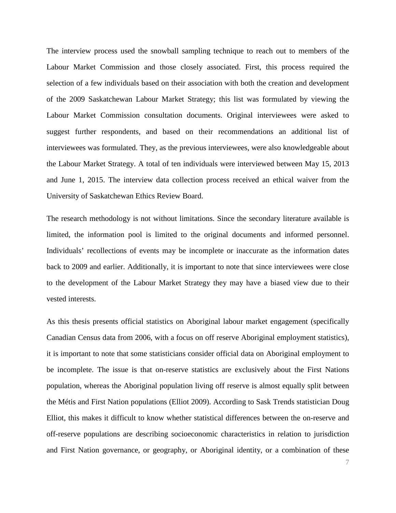The interview process used the snowball sampling technique to reach out to members of the Labour Market Commission and those closely associated. First, this process required the selection of a few individuals based on their association with both the creation and development of the 2009 Saskatchewan Labour Market Strategy; this list was formulated by viewing the Labour Market Commission consultation documents. Original interviewees were asked to suggest further respondents, and based on their recommendations an additional list of interviewees was formulated. They, as the previous interviewees, were also knowledgeable about the Labour Market Strategy. A total of ten individuals were interviewed between May 15, 2013 and June 1, 2015. The interview data collection process received an ethical waiver from the University of Saskatchewan Ethics Review Board.

The research methodology is not without limitations. Since the secondary literature available is limited, the information pool is limited to the original documents and informed personnel. Individuals' recollections of events may be incomplete or inaccurate as the information dates back to 2009 and earlier. Additionally, it is important to note that since interviewees were close to the development of the Labour Market Strategy they may have a biased view due to their vested interests.

As this thesis presents official statistics on Aboriginal labour market engagement (specifically Canadian Census data from 2006, with a focus on off reserve Aboriginal employment statistics), it is important to note that some statisticians consider official data on Aboriginal employment to be incomplete. The issue is that on-reserve statistics are exclusively about the First Nations population, whereas the Aboriginal population living off reserve is almost equally split between the Métis and First Nation populations (Elliot 2009). According to Sask Trends statistician Doug Elliot, this makes it difficult to know whether statistical differences between the on-reserve and off-reserve populations are describing socioeconomic characteristics in relation to jurisdiction and First Nation governance, or geography, or Aboriginal identity, or a combination of these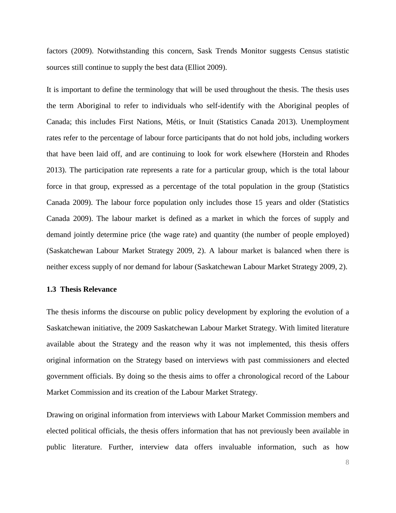factors (2009). Notwithstanding this concern, Sask Trends Monitor suggests Census statistic sources still continue to supply the best data (Elliot 2009).

It is important to define the terminology that will be used throughout the thesis. The thesis uses the term Aboriginal to refer to individuals who self-identify with the Aboriginal peoples of Canada; this includes First Nations, Métis, or Inuit (Statistics Canada 2013). Unemployment rates refer to the percentage of labour force participants that do not hold jobs, including workers that have been laid off, and are continuing to look for work elsewhere (Horstein and Rhodes 2013). The participation rate represents a rate for a particular group, which is the total labour force in that group, expressed as a percentage of the total population in the group (Statistics Canada 2009). The labour force population only includes those 15 years and older (Statistics Canada 2009). The labour market is defined as a market in which the forces of supply and demand jointly determine price (the wage rate) and quantity (the number of people employed) (Saskatchewan Labour Market Strategy 2009, 2). A labour market is balanced when there is neither excess supply of nor demand for labour (Saskatchewan Labour Market Strategy 2009, 2).

### <span id="page-14-0"></span>**1.3 Thesis Relevance**

The thesis informs the discourse on public policy development by exploring the evolution of a Saskatchewan initiative, the 2009 Saskatchewan Labour Market Strategy. With limited literature available about the Strategy and the reason why it was not implemented, this thesis offers original information on the Strategy based on interviews with past commissioners and elected government officials. By doing so the thesis aims to offer a chronological record of the Labour Market Commission and its creation of the Labour Market Strategy.

Drawing on original information from interviews with Labour Market Commission members and elected political officials, the thesis offers information that has not previously been available in public literature. Further, interview data offers invaluable information, such as how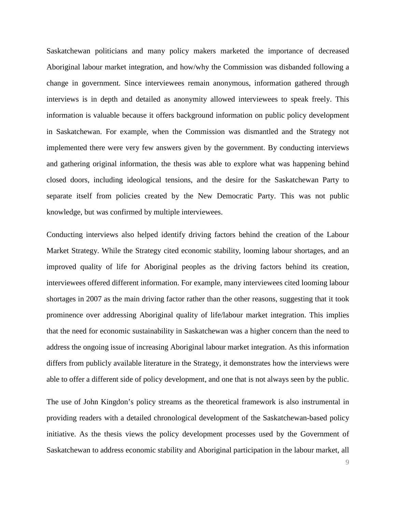Saskatchewan politicians and many policy makers marketed the importance of decreased Aboriginal labour market integration, and how/why the Commission was disbanded following a change in government. Since interviewees remain anonymous, information gathered through interviews is in depth and detailed as anonymity allowed interviewees to speak freely. This information is valuable because it offers background information on public policy development in Saskatchewan. For example, when the Commission was dismantled and the Strategy not implemented there were very few answers given by the government. By conducting interviews and gathering original information, the thesis was able to explore what was happening behind closed doors, including ideological tensions, and the desire for the Saskatchewan Party to separate itself from policies created by the New Democratic Party. This was not public knowledge, but was confirmed by multiple interviewees.

Conducting interviews also helped identify driving factors behind the creation of the Labour Market Strategy. While the Strategy cited economic stability, looming labour shortages, and an improved quality of life for Aboriginal peoples as the driving factors behind its creation, interviewees offered different information. For example, many interviewees cited looming labour shortages in 2007 as the main driving factor rather than the other reasons, suggesting that it took prominence over addressing Aboriginal quality of life/labour market integration. This implies that the need for economic sustainability in Saskatchewan was a higher concern than the need to address the ongoing issue of increasing Aboriginal labour market integration. As this information differs from publicly available literature in the Strategy, it demonstrates how the interviews were able to offer a different side of policy development, and one that is not always seen by the public.

The use of John Kingdon's policy streams as the theoretical framework is also instrumental in providing readers with a detailed chronological development of the Saskatchewan-based policy initiative. As the thesis views the policy development processes used by the Government of Saskatchewan to address economic stability and Aboriginal participation in the labour market, all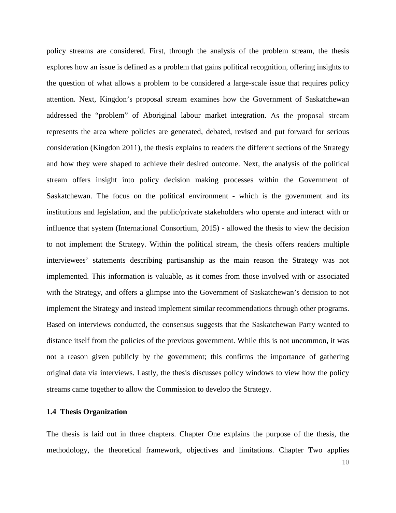policy streams are considered. First, through the analysis of the problem stream, the thesis explores how an issue is defined as a problem that gains political recognition, offering insights to the question of what allows a problem to be considered a large-scale issue that requires policy attention. Next, Kingdon's proposal stream examines how the Government of Saskatchewan addressed the "problem" of Aboriginal labour market integration. As the proposal stream represents the area where policies are generated, debated, revised and put forward for serious consideration (Kingdon 2011), the thesis explains to readers the different sections of the Strategy and how they were shaped to achieve their desired outcome. Next, the analysis of the political stream offers insight into policy decision making processes within the Government of Saskatchewan. The focus on the political environment - which is the government and its institutions and legislation, and the public/private stakeholders who operate and interact with or influence that system (International Consortium, 2015) - allowed the thesis to view the decision to not implement the Strategy. Within the political stream, the thesis offers readers multiple interviewees' statements describing partisanship as the main reason the Strategy was not implemented. This information is valuable, as it comes from those involved with or associated with the Strategy, and offers a glimpse into the Government of Saskatchewan's decision to not implement the Strategy and instead implement similar recommendations through other programs. Based on interviews conducted, the consensus suggests that the Saskatchewan Party wanted to distance itself from the policies of the previous government. While this is not uncommon, it was not a reason given publicly by the government; this confirms the importance of gathering original data via interviews. Lastly, the thesis discusses policy windows to view how the policy streams came together to allow the Commission to develop the Strategy.

#### <span id="page-16-0"></span>**1.4 Thesis Organization**

The thesis is laid out in three chapters. Chapter One explains the purpose of the thesis, the methodology, the theoretical framework, objectives and limitations. Chapter Two applies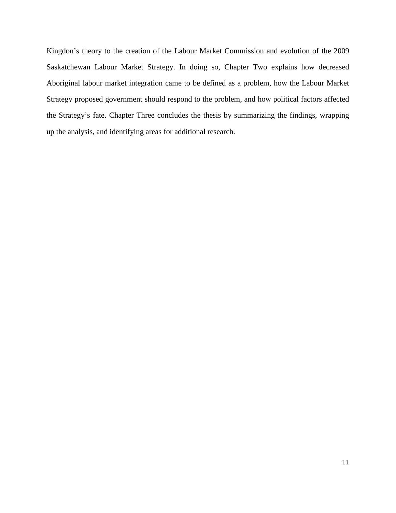Kingdon's theory to the creation of the Labour Market Commission and evolution of the 2009 Saskatchewan Labour Market Strategy. In doing so, Chapter Two explains how decreased Aboriginal labour market integration came to be defined as a problem, how the Labour Market Strategy proposed government should respond to the problem, and how political factors affected the Strategy's fate. Chapter Three concludes the thesis by summarizing the findings, wrapping up the analysis, and identifying areas for additional research.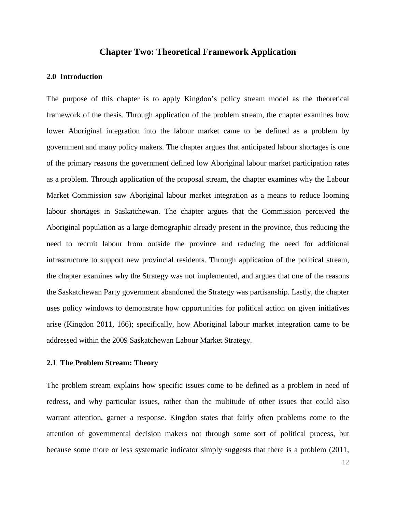# **Chapter Two: Theoretical Framework Application**

#### <span id="page-18-1"></span><span id="page-18-0"></span>**2.0 Introduction**

The purpose of this chapter is to apply Kingdon's policy stream model as the theoretical framework of the thesis. Through application of the problem stream, the chapter examines how lower Aboriginal integration into the labour market came to be defined as a problem by government and many policy makers. The chapter argues that anticipated labour shortages is one of the primary reasons the government defined low Aboriginal labour market participation rates as a problem. Through application of the proposal stream, the chapter examines why the Labour Market Commission saw Aboriginal labour market integration as a means to reduce looming labour shortages in Saskatchewan. The chapter argues that the Commission perceived the Aboriginal population as a large demographic already present in the province, thus reducing the need to recruit labour from outside the province and reducing the need for additional infrastructure to support new provincial residents. Through application of the political stream, the chapter examines why the Strategy was not implemented, and argues that one of the reasons the Saskatchewan Party government abandoned the Strategy was partisanship. Lastly, the chapter uses policy windows to demonstrate how opportunities for political action on given initiatives arise (Kingdon 2011, 166); specifically, how Aboriginal labour market integration came to be addressed within the 2009 Saskatchewan Labour Market Strategy.

### <span id="page-18-2"></span>**2.1 The Problem Stream: Theory**

The problem stream explains how specific issues come to be defined as a problem in need of redress, and why particular issues, rather than the multitude of other issues that could also warrant attention, garner a response. Kingdon states that fairly often problems come to the attention of governmental decision makers not through some sort of political process, but because some more or less systematic indicator simply suggests that there is a problem (2011,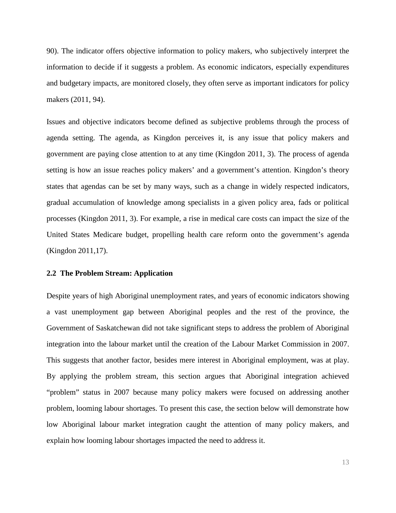90). The indicator offers objective information to policy makers, who subjectively interpret the information to decide if it suggests a problem. As economic indicators, especially expenditures and budgetary impacts, are monitored closely, they often serve as important indicators for policy makers (2011, 94).

Issues and objective indicators become defined as subjective problems through the process of agenda setting. The agenda, as Kingdon perceives it, is any issue that policy makers and government are paying close attention to at any time (Kingdon 2011, 3). The process of agenda setting is how an issue reaches policy makers' and a government's attention. Kingdon's theory states that agendas can be set by many ways, such as a change in widely respected indicators, gradual accumulation of knowledge among specialists in a given policy area, fads or political processes (Kingdon 2011, 3). For example, a rise in medical care costs can impact the size of the United States Medicare budget, propelling health care reform onto the government's agenda (Kingdon 2011,17).

#### <span id="page-19-0"></span>**2.2 The Problem Stream: Application**

Despite years of high Aboriginal unemployment rates, and years of economic indicators showing a vast unemployment gap between Aboriginal peoples and the rest of the province, the Government of Saskatchewan did not take significant steps to address the problem of Aboriginal integration into the labour market until the creation of the Labour Market Commission in 2007. This suggests that another factor, besides mere interest in Aboriginal employment, was at play. By applying the problem stream, this section argues that Aboriginal integration achieved "problem" status in 2007 because many policy makers were focused on addressing another problem, looming labour shortages. To present this case, the section below will demonstrate how low Aboriginal labour market integration caught the attention of many policy makers, and explain how looming labour shortages impacted the need to address it.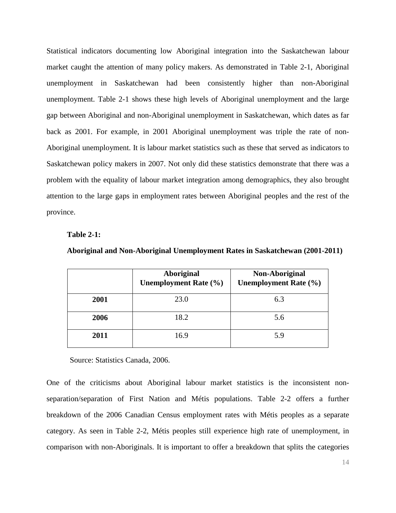Statistical indicators documenting low Aboriginal integration into the Saskatchewan labour market caught the attention of many policy makers. As demonstrated in Table 2-1, Aboriginal unemployment in Saskatchewan had been consistently higher than non-Aboriginal unemployment. Table 2-1 shows these high levels of Aboriginal unemployment and the large gap between Aboriginal and non-Aboriginal unemployment in Saskatchewan, which dates as far back as 2001. For example, in 2001 Aboriginal unemployment was triple the rate of non-Aboriginal unemployment. It is labour market statistics such as these that served as indicators to Saskatchewan policy makers in 2007. Not only did these statistics demonstrate that there was a problem with the equality of labour market integration among demographics, they also brought attention to the large gaps in employment rates between Aboriginal peoples and the rest of the province.

#### **Table 2-1:**

|      | Aboriginal<br><b>Unemployment Rate (%)</b> | Non-Aboriginal<br><b>Unemployment Rate (%)</b> |
|------|--------------------------------------------|------------------------------------------------|
| 2001 | 23.0                                       | 6.3                                            |
| 2006 | 18.2                                       | 5.6                                            |
| 2011 | 16.9                                       | 5.9                                            |

**Aboriginal and Non-Aboriginal Unemployment Rates in Saskatchewan (2001-2011)**

Source: Statistics Canada, 2006.

One of the criticisms about Aboriginal labour market statistics is the inconsistent nonseparation/separation of First Nation and Métis populations. Table 2-2 offers a further breakdown of the 2006 Canadian Census employment rates with Métis peoples as a separate category. As seen in Table 2-2, Métis peoples still experience high rate of unemployment, in comparison with non-Aboriginals. It is important to offer a breakdown that splits the categories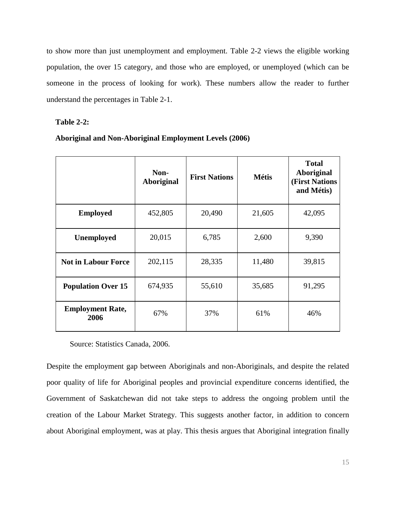to show more than just unemployment and employment. Table 2-2 views the eligible working population, the over 15 category, and those who are employed, or unemployed (which can be someone in the process of looking for work). These numbers allow the reader to further understand the percentages in Table 2-1.

## **Table 2-2:**

|  |  | <b>Aboriginal and Non-Aboriginal Employment Levels (2006)</b> |
|--|--|---------------------------------------------------------------|
|  |  |                                                               |

|                                 | Non-<br>Aboriginal | <b>First Nations</b> | <b>Métis</b> | <b>Total</b><br>Aboriginal<br><b>(First Nations)</b><br>and Métis) |
|---------------------------------|--------------------|----------------------|--------------|--------------------------------------------------------------------|
| <b>Employed</b>                 | 452,805            | 20,490               | 21,605       | 42,095                                                             |
| <b>Unemployed</b>               | 20,015             | 6,785                | 2,600        | 9,390                                                              |
| <b>Not in Labour Force</b>      | 202,115            | 28,335               | 11,480       | 39,815                                                             |
| <b>Population Over 15</b>       | 674,935            | 55,610               | 35,685       | 91,295                                                             |
| <b>Employment Rate,</b><br>2006 | 67%                | 37%                  | 61%          | 46%                                                                |

Source: Statistics Canada, 2006.

Despite the employment gap between Aboriginals and non-Aboriginals, and despite the related poor quality of life for Aboriginal peoples and provincial expenditure concerns identified, the Government of Saskatchewan did not take steps to address the ongoing problem until the creation of the Labour Market Strategy. This suggests another factor, in addition to concern about Aboriginal employment, was at play. This thesis argues that Aboriginal integration finally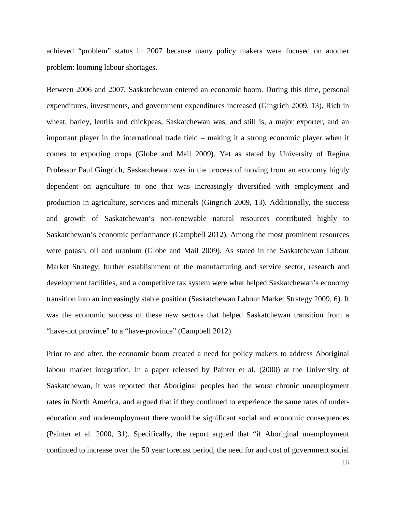achieved "problem" status in 2007 because many policy makers were focused on another problem: looming labour shortages.

Between 2006 and 2007, Saskatchewan entered an economic boom. During this time, personal expenditures, investments, and government expenditures increased (Gingrich 2009, 13). Rich in wheat, barley, lentils and chickpeas, Saskatchewan was, and still is, a major exporter, and an important player in the international trade field – making it a strong economic player when it comes to exporting crops (Globe and Mail 2009). Yet as stated by University of Regina Professor Paul Gingrich, Saskatchewan was in the process of moving from an economy highly dependent on agriculture to one that was increasingly diversified with employment and production in agriculture, services and minerals (Gingrich 2009, 13). Additionally, the success and growth of Saskatchewan's non-renewable natural resources contributed highly to Saskatchewan's economic performance (Campbell 2012). Among the most prominent resources were potash, oil and uranium (Globe and Mail 2009). As stated in the Saskatchewan Labour Market Strategy, further establishment of the manufacturing and service sector, research and development facilities, and a competitive tax system were what helped Saskatchewan's economy transition into an increasingly stable position (Saskatchewan Labour Market Strategy 2009, 6). It was the economic success of these new sectors that helped Saskatchewan transition from a "have-not province" to a "have-province" (Campbell 2012).

Prior to and after, the economic boom created a need for policy makers to address Aboriginal labour market integration. In a paper released by Painter et al. (2000) at the University of Saskatchewan, it was reported that Aboriginal peoples had the worst chronic unemployment rates in North America, and argued that if they continued to experience the same rates of undereducation and underemployment there would be significant social and economic consequences (Painter et al. 2000, 31). Specifically, the report argued that "if Aboriginal unemployment continued to increase over the 50 year forecast period, the need for and cost of government social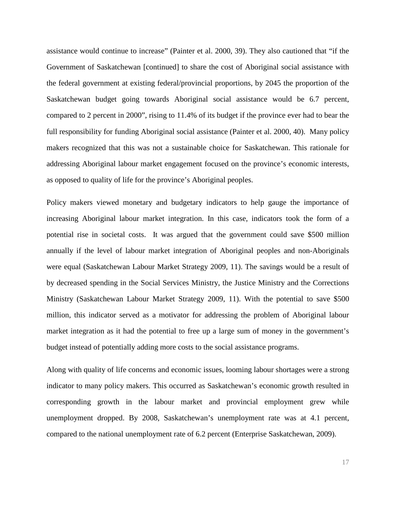assistance would continue to increase" (Painter et al. 2000, 39). They also cautioned that "if the Government of Saskatchewan [continued] to share the cost of Aboriginal social assistance with the federal government at existing federal/provincial proportions, by 2045 the proportion of the Saskatchewan budget going towards Aboriginal social assistance would be 6.7 percent, compared to 2 percent in 2000", rising to 11.4% of its budget if the province ever had to bear the full responsibility for funding Aboriginal social assistance (Painter et al. 2000, 40). Many policy makers recognized that this was not a sustainable choice for Saskatchewan. This rationale for addressing Aboriginal labour market engagement focused on the province's economic interests, as opposed to quality of life for the province's Aboriginal peoples.

Policy makers viewed monetary and budgetary indicators to help gauge the importance of increasing Aboriginal labour market integration. In this case, indicators took the form of a potential rise in societal costs. It was argued that the government could save \$500 million annually if the level of labour market integration of Aboriginal peoples and non-Aboriginals were equal (Saskatchewan Labour Market Strategy 2009, 11). The savings would be a result of by decreased spending in the Social Services Ministry, the Justice Ministry and the Corrections Ministry (Saskatchewan Labour Market Strategy 2009, 11). With the potential to save \$500 million, this indicator served as a motivator for addressing the problem of Aboriginal labour market integration as it had the potential to free up a large sum of money in the government's budget instead of potentially adding more costs to the social assistance programs.

Along with quality of life concerns and economic issues, looming labour shortages were a strong indicator to many policy makers. This occurred as Saskatchewan's economic growth resulted in corresponding growth in the labour market and provincial employment grew while unemployment dropped. By 2008, Saskatchewan's unemployment rate was at 4.1 percent, compared to the national unemployment rate of 6.2 percent (Enterprise Saskatchewan, 2009).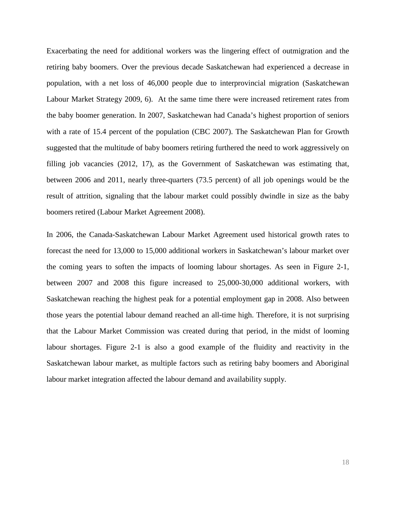Exacerbating the need for additional workers was the lingering effect of outmigration and the retiring baby boomers. Over the previous decade Saskatchewan had experienced a decrease in population, with a net loss of 46,000 people due to interprovincial migration (Saskatchewan Labour Market Strategy 2009, 6). At the same time there were increased retirement rates from the baby boomer generation. In 2007, Saskatchewan had Canada's highest proportion of seniors with a rate of 15.4 percent of the population (CBC 2007). The Saskatchewan Plan for Growth suggested that the multitude of baby boomers retiring furthered the need to work aggressively on filling job vacancies (2012, 17), as the Government of Saskatchewan was estimating that, between 2006 and 2011, nearly three-quarters (73.5 percent) of all job openings would be the result of attrition, signaling that the labour market could possibly dwindle in size as the baby boomers retired (Labour Market Agreement 2008).

In 2006, the Canada-Saskatchewan Labour Market Agreement used historical growth rates to forecast the need for 13,000 to 15,000 additional workers in Saskatchewan's labour market over the coming years to soften the impacts of looming labour shortages. As seen in Figure 2-1, between 2007 and 2008 this figure increased to 25,000-30,000 additional workers, with Saskatchewan reaching the highest peak for a potential employment gap in 2008. Also between those years the potential labour demand reached an all-time high. Therefore, it is not surprising that the Labour Market Commission was created during that period, in the midst of looming labour shortages. Figure 2-1 is also a good example of the fluidity and reactivity in the Saskatchewan labour market, as multiple factors such as retiring baby boomers and Aboriginal labour market integration affected the labour demand and availability supply.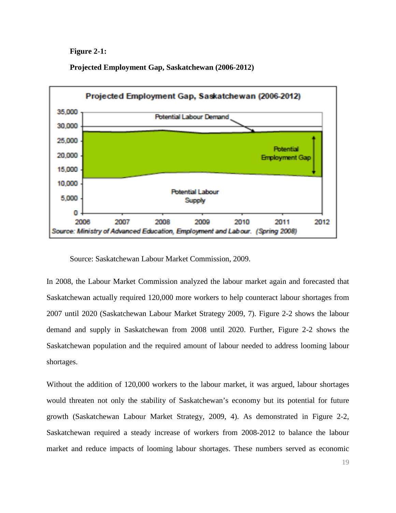**Figure 2-1:**

**Projected Employment Gap, Saskatchewan (2006-2012)**



Source: Saskatchewan Labour Market Commission, 2009.

In 2008, the Labour Market Commission analyzed the labour market again and forecasted that Saskatchewan actually required 120,000 more workers to help counteract labour shortages from 2007 until 2020 (Saskatchewan Labour Market Strategy 2009, 7). Figure 2-2 shows the labour demand and supply in Saskatchewan from 2008 until 2020. Further, Figure 2-2 shows the Saskatchewan population and the required amount of labour needed to address looming labour shortages.

Without the addition of 120,000 workers to the labour market, it was argued, labour shortages would threaten not only the stability of Saskatchewan's economy but its potential for future growth (Saskatchewan Labour Market Strategy, 2009, 4). As demonstrated in Figure 2-2, Saskatchewan required a steady increase of workers from 2008-2012 to balance the labour market and reduce impacts of looming labour shortages. These numbers served as economic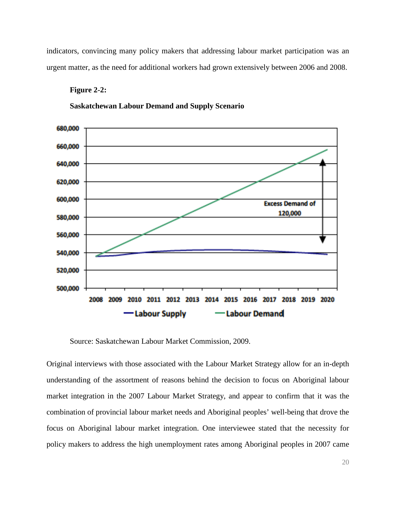indicators, convincing many policy makers that addressing labour market participation was an urgent matter, as the need for additional workers had grown extensively between 2006 and 2008.

## **Figure 2-2:**





Source: Saskatchewan Labour Market Commission, 2009.

Original interviews with those associated with the Labour Market Strategy allow for an in-depth understanding of the assortment of reasons behind the decision to focus on Aboriginal labour market integration in the 2007 Labour Market Strategy, and appear to confirm that it was the combination of provincial labour market needs and Aboriginal peoples' well-being that drove the focus on Aboriginal labour market integration. One interviewee stated that the necessity for policy makers to address the high unemployment rates among Aboriginal peoples in 2007 came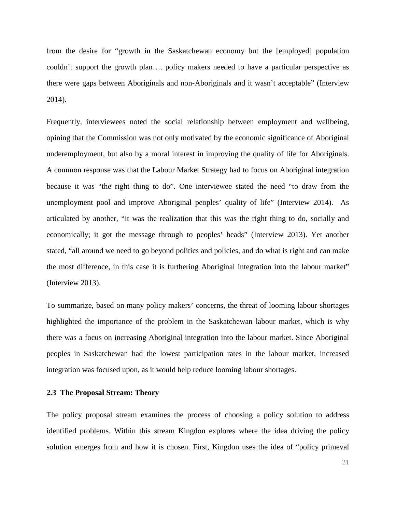from the desire for "growth in the Saskatchewan economy but the [employed] population couldn't support the growth plan…. policy makers needed to have a particular perspective as there were gaps between Aboriginals and non-Aboriginals and it wasn't acceptable" (Interview 2014).

Frequently, interviewees noted the social relationship between employment and wellbeing, opining that the Commission was not only motivated by the economic significance of Aboriginal underemployment, but also by a moral interest in improving the quality of life for Aboriginals. A common response was that the Labour Market Strategy had to focus on Aboriginal integration because it was "the right thing to do". One interviewee stated the need "to draw from the unemployment pool and improve Aboriginal peoples' quality of life" (Interview 2014). As articulated by another, "it was the realization that this was the right thing to do, socially and economically; it got the message through to peoples' heads" (Interview 2013). Yet another stated, "all around we need to go beyond politics and policies, and do what is right and can make the most difference, in this case it is furthering Aboriginal integration into the labour market" (Interview 2013).

To summarize, based on many policy makers' concerns, the threat of looming labour shortages highlighted the importance of the problem in the Saskatchewan labour market, which is why there was a focus on increasing Aboriginal integration into the labour market. Since Aboriginal peoples in Saskatchewan had the lowest participation rates in the labour market, increased integration was focused upon, as it would help reduce looming labour shortages.

### <span id="page-27-0"></span>**2.3 The Proposal Stream: Theory**

The policy proposal stream examines the process of choosing a policy solution to address identified problems. Within this stream Kingdon explores where the idea driving the policy solution emerges from and how it is chosen. First, Kingdon uses the idea of "policy primeval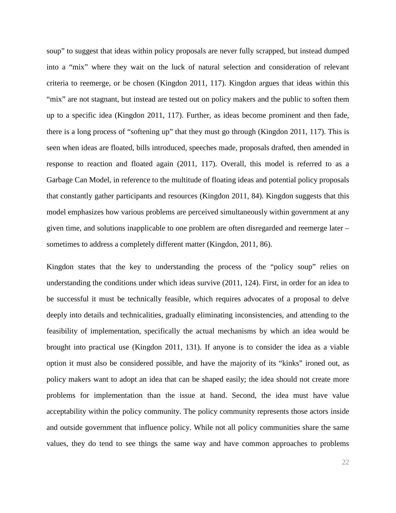soup" to suggest that ideas within policy proposals are never fully scrapped, but instead dumped into a "mix" where they wait on the luck of natural selection and consideration of relevant criteria to reemerge, or be chosen (Kingdon 2011, 117). Kingdon argues that ideas within this "mix" are not stagnant, but instead are tested out on policy makers and the public to soften them up to a specific idea (Kingdon 2011, 117). Further, as ideas become prominent and then fade, there is a long process of "softening up" that they must go through (Kingdon 2011, 117). This is seen when ideas are floated, bills introduced, speeches made, proposals drafted, then amended in response to reaction and floated again (2011, 117). Overall, this model is referred to as a Garbage Can Model, in reference to the multitude of floating ideas and potential policy proposals that constantly gather participants and resources (Kingdon 2011, 84). Kingdon suggests that this model emphasizes how various problems are perceived simultaneously within government at any given time, and solutions inapplicable to one problem are often disregarded and reemerge later – sometimes to address a completely different matter (Kingdon, 2011, 86).

Kingdon states that the key to understanding the process of the "policy soup" relies on understanding the conditions under which ideas survive (2011, 124). First, in order for an idea to be successful it must be technically feasible, which requires advocates of a proposal to delve deeply into details and technicalities, gradually eliminating inconsistencies, and attending to the feasibility of implementation, specifically the actual mechanisms by which an idea would be brought into practical use (Kingdon 2011, 131). If anyone is to consider the idea as a viable option it must also be considered possible, and have the majority of its "kinks" ironed out, as policy makers want to adopt an idea that can be shaped easily; the idea should not create more problems for implementation than the issue at hand. Second, the idea must have value acceptability within the policy community. The policy community represents those actors inside and outside government that influence policy. While not all policy communities share the same values, they do tend to see things the same way and have common approaches to problems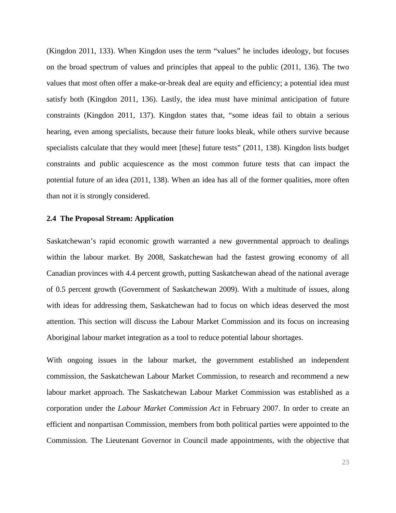(Kingdon 2011, 133). When Kingdon uses the term "values" he includes ideology, but focuses on the broad spectrum of values and principles that appeal to the public (2011, 136). The two values that most often offer a make-or-break deal are equity and efficiency; a potential idea must satisfy both (Kingdon 2011, 136). Lastly, the idea must have minimal anticipation of future constraints (Kingdon 2011, 137). Kingdon states that, "some ideas fail to obtain a serious hearing, even among specialists, because their future looks bleak, while others survive because specialists calculate that they would meet [these] future tests" (2011, 138). Kingdon lists budget constraints and public acquiescence as the most common future tests that can impact the potential future of an idea (2011, 138). When an idea has all of the former qualities, more often than not it is strongly considered.

#### <span id="page-29-0"></span>**2.4 The Proposal Stream: Application**

Saskatchewan's rapid economic growth warranted a new governmental approach to dealings within the labour market. By 2008, Saskatchewan had the fastest growing economy of all Canadian provinces with 4.4 percent growth, putting Saskatchewan ahead of the national average of 0.5 percent growth (Government of Saskatchewan 2009). With a multitude of issues, along with ideas for addressing them, Saskatchewan had to focus on which ideas deserved the most attention. This section will discuss the Labour Market Commission and its focus on increasing Aboriginal labour market integration as a tool to reduce potential labour shortages.

With ongoing issues in the labour market, the government established an independent commission, the Saskatchewan Labour Market Commission, to research and recommend a new labour market approach. The Saskatchewan Labour Market Commission was established as a corporation under the *Labour Market Commission Act* in February 2007. In order to create an efficient and nonpartisan Commission, members from both political parties were appointed to the Commission. The Lieutenant Governor in Council made appointments, with the objective that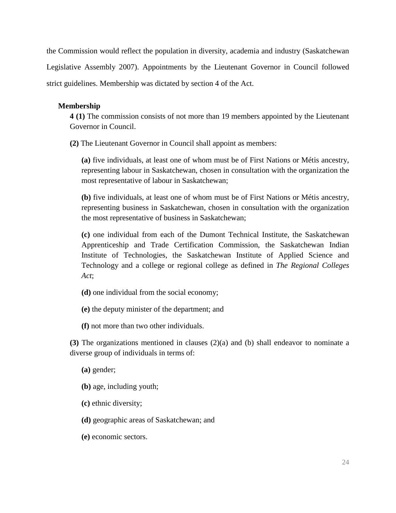the Commission would reflect the population in diversity, academia and industry (Saskatchewan Legislative Assembly 2007). Appointments by the Lieutenant Governor in Council followed strict guidelines. Membership was dictated by section 4 of the Act.

# **Membership**

**4 (1)** The commission consists of not more than 19 members appointed by the Lieutenant Governor in Council.

**(2)** The Lieutenant Governor in Council shall appoint as members:

**(a)** five individuals, at least one of whom must be of First Nations or Métis ancestry, representing labour in Saskatchewan, chosen in consultation with the organization the most representative of labour in Saskatchewan;

**(b)** five individuals, at least one of whom must be of First Nations or Métis ancestry, representing business in Saskatchewan, chosen in consultation with the organization the most representative of business in Saskatchewan;

**(c)** one individual from each of the Dumont Technical Institute, the Saskatchewan Apprenticeship and Trade Certification Commission, the Saskatchewan Indian Institute of Technologies, the Saskatchewan Institute of Applied Science and Technology and a college or regional college as defined in *The Regional Colleges Act*;

- **(d)** one individual from the social economy;
- **(e)** the deputy minister of the department; and
- **(f)** not more than two other individuals.

**(3)** The organizations mentioned in clauses (2)(a) and (b) shall endeavor to nominate a diverse group of individuals in terms of:

**(a)** gender;

- **(b)** age, including youth;
- **(c)** ethnic diversity;
- **(d)** geographic areas of Saskatchewan; and
- **(e)** economic sectors.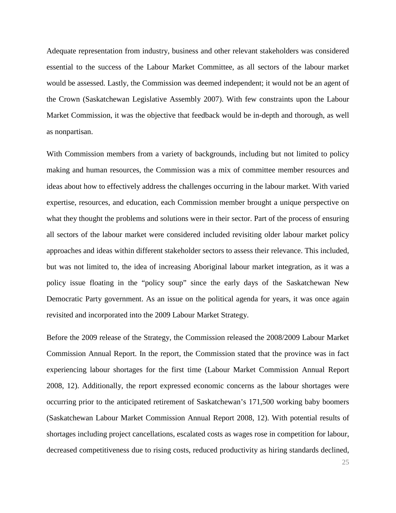Adequate representation from industry, business and other relevant stakeholders was considered essential to the success of the Labour Market Committee, as all sectors of the labour market would be assessed. Lastly, the Commission was deemed independent; it would not be an agent of the Crown (Saskatchewan Legislative Assembly 2007). With few constraints upon the Labour Market Commission, it was the objective that feedback would be in-depth and thorough, as well as nonpartisan.

With Commission members from a variety of backgrounds, including but not limited to policy making and human resources, the Commission was a mix of committee member resources and ideas about how to effectively address the challenges occurring in the labour market. With varied expertise, resources, and education, each Commission member brought a unique perspective on what they thought the problems and solutions were in their sector. Part of the process of ensuring all sectors of the labour market were considered included revisiting older labour market policy approaches and ideas within different stakeholder sectors to assess their relevance. This included, but was not limited to, the idea of increasing Aboriginal labour market integration, as it was a policy issue floating in the "policy soup" since the early days of the Saskatchewan New Democratic Party government. As an issue on the political agenda for years, it was once again revisited and incorporated into the 2009 Labour Market Strategy.

Before the 2009 release of the Strategy, the Commission released the 2008/2009 Labour Market Commission Annual Report. In the report, the Commission stated that the province was in fact experiencing labour shortages for the first time (Labour Market Commission Annual Report 2008, 12). Additionally, the report expressed economic concerns as the labour shortages were occurring prior to the anticipated retirement of Saskatchewan's 171,500 working baby boomers (Saskatchewan Labour Market Commission Annual Report 2008, 12). With potential results of shortages including project cancellations, escalated costs as wages rose in competition for labour, decreased competitiveness due to rising costs, reduced productivity as hiring standards declined,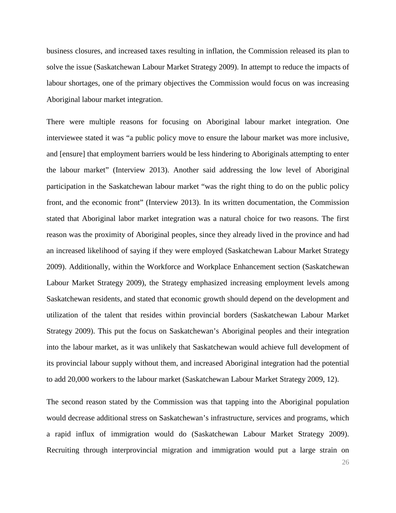business closures, and increased taxes resulting in inflation, the Commission released its plan to solve the issue (Saskatchewan Labour Market Strategy 2009). In attempt to reduce the impacts of labour shortages, one of the primary objectives the Commission would focus on was increasing Aboriginal labour market integration.

There were multiple reasons for focusing on Aboriginal labour market integration. One interviewee stated it was "a public policy move to ensure the labour market was more inclusive, and [ensure] that employment barriers would be less hindering to Aboriginals attempting to enter the labour market" (Interview 2013). Another said addressing the low level of Aboriginal participation in the Saskatchewan labour market "was the right thing to do on the public policy front, and the economic front" (Interview 2013). In its written documentation, the Commission stated that Aboriginal labor market integration was a natural choice for two reasons. The first reason was the proximity of Aboriginal peoples, since they already lived in the province and had an increased likelihood of saying if they were employed (Saskatchewan Labour Market Strategy 2009). Additionally, within the Workforce and Workplace Enhancement section (Saskatchewan Labour Market Strategy 2009), the Strategy emphasized increasing employment levels among Saskatchewan residents, and stated that economic growth should depend on the development and utilization of the talent that resides within provincial borders (Saskatchewan Labour Market Strategy 2009). This put the focus on Saskatchewan's Aboriginal peoples and their integration into the labour market, as it was unlikely that Saskatchewan would achieve full development of its provincial labour supply without them, and increased Aboriginal integration had the potential to add 20,000 workers to the labour market (Saskatchewan Labour Market Strategy 2009, 12).

The second reason stated by the Commission was that tapping into the Aboriginal population would decrease additional stress on Saskatchewan's infrastructure, services and programs, which a rapid influx of immigration would do (Saskatchewan Labour Market Strategy 2009). Recruiting through interprovincial migration and immigration would put a large strain on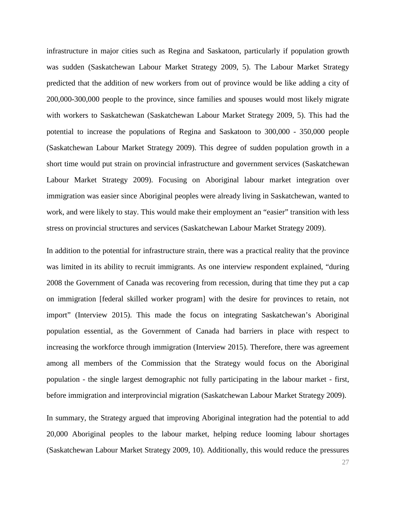infrastructure in major cities such as Regina and Saskatoon, particularly if population growth was sudden (Saskatchewan Labour Market Strategy 2009, 5). The Labour Market Strategy predicted that the addition of new workers from out of province would be like adding a city of 200,000-300,000 people to the province, since families and spouses would most likely migrate with workers to Saskatchewan (Saskatchewan Labour Market Strategy 2009, 5). This had the potential to increase the populations of Regina and Saskatoon to 300,000 - 350,000 people (Saskatchewan Labour Market Strategy 2009). This degree of sudden population growth in a short time would put strain on provincial infrastructure and government services (Saskatchewan Labour Market Strategy 2009). Focusing on Aboriginal labour market integration over immigration was easier since Aboriginal peoples were already living in Saskatchewan, wanted to work, and were likely to stay. This would make their employment an "easier" transition with less stress on provincial structures and services (Saskatchewan Labour Market Strategy 2009).

In addition to the potential for infrastructure strain, there was a practical reality that the province was limited in its ability to recruit immigrants. As one interview respondent explained, "during 2008 the Government of Canada was recovering from recession, during that time they put a cap on immigration [federal skilled worker program] with the desire for provinces to retain, not import" (Interview 2015). This made the focus on integrating Saskatchewan's Aboriginal population essential, as the Government of Canada had barriers in place with respect to increasing the workforce through immigration (Interview 2015). Therefore, there was agreement among all members of the Commission that the Strategy would focus on the Aboriginal population - the single largest demographic not fully participating in the labour market - first, before immigration and interprovincial migration (Saskatchewan Labour Market Strategy 2009).

In summary, the Strategy argued that improving Aboriginal integration had the potential to add 20,000 Aboriginal peoples to the labour market, helping reduce looming labour shortages (Saskatchewan Labour Market Strategy 2009, 10). Additionally, this would reduce the pressures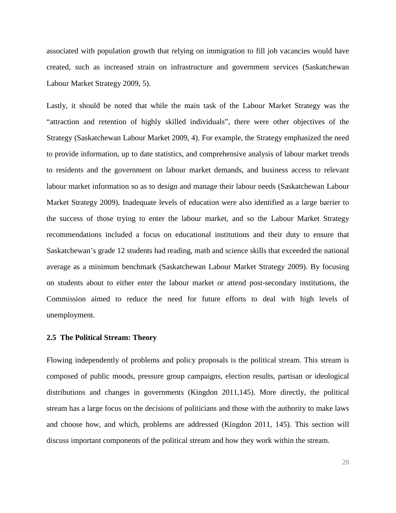associated with population growth that relying on immigration to fill job vacancies would have created, such as increased strain on infrastructure and government services (Saskatchewan Labour Market Strategy 2009, 5).

Lastly, it should be noted that while the main task of the Labour Market Strategy was the "attraction and retention of highly skilled individuals", there were other objectives of the Strategy (Saskatchewan Labour Market 2009, 4). For example, the Strategy emphasized the need to provide information, up to date statistics, and comprehensive analysis of labour market trends to residents and the government on labour market demands, and business access to relevant labour market information so as to design and manage their labour needs (Saskatchewan Labour Market Strategy 2009). Inadequate levels of education were also identified as a large barrier to the success of those trying to enter the labour market, and so the Labour Market Strategy recommendations included a focus on educational institutions and their duty to ensure that Saskatchewan's grade 12 students had reading, math and science skills that exceeded the national average as a minimum benchmark (Saskatchewan Labour Market Strategy 2009). By focusing on students about to either enter the labour market or attend post-secondary institutions, the Commission aimed to reduce the need for future efforts to deal with high levels of unemployment.

#### <span id="page-34-0"></span>**2.5 The Political Stream: Theory**

Flowing independently of problems and policy proposals is the political stream. This stream is composed of public moods, pressure group campaigns, election results, partisan or ideological distributions and changes in governments (Kingdon 2011,145). More directly, the political stream has a large focus on the decisions of politicians and those with the authority to make laws and choose how, and which, problems are addressed (Kingdon 2011, 145). This section will discuss important components of the political stream and how they work within the stream.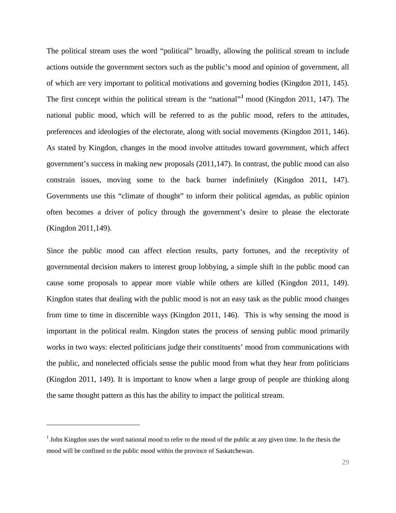The political stream uses the word "political" broadly, allowing the political stream to include actions outside the government sectors such as the public's mood and opinion of government, all of which are very important to political motivations and governing bodies (Kingdon 2011, 145). The first concept within the political stream is the "national"*[1](#page-35-0)* mood (Kingdon 2011, 147). The national public mood, which will be referred to as the public mood, refers to the attitudes, preferences and ideologies of the electorate, along with social movements (Kingdon 2011, 146). As stated by Kingdon, changes in the mood involve attitudes toward government, which affect government's success in making new proposals (2011,147). In contrast, the public mood can also constrain issues, moving some to the back burner indefinitely (Kingdon 2011, 147). Governments use this "climate of thought" to inform their political agendas, as public opinion often becomes a driver of policy through the government's desire to please the electorate (Kingdon 2011,149).

Since the public mood can affect election results, party fortunes, and the receptivity of governmental decision makers to interest group lobbying, a simple shift in the public mood can cause some proposals to appear more viable while others are killed (Kingdon 2011, 149). Kingdon states that dealing with the public mood is not an easy task as the public mood changes from time to time in discernible ways (Kingdon 2011, 146). This is why sensing the mood is important in the political realm. Kingdon states the process of sensing public mood primarily works in two ways: elected politicians judge their constituents' mood from communications with the public, and nonelected officials sense the public mood from what they hear from politicians (Kingdon 2011, 149). It is important to know when a large group of people are thinking along the same thought pattern as this has the ability to impact the political stream.

j

<span id="page-35-0"></span><sup>&</sup>lt;sup>1</sup> John Kingdon uses the word national mood to refer to the mood of the public at any given time. In the thesis the mood will be confined to the public mood within the province of Saskatchewan.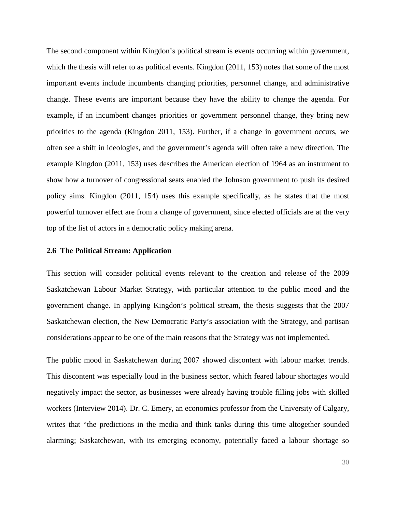The second component within Kingdon's political stream is events occurring within government, which the thesis will refer to as political events. Kingdon (2011, 153) notes that some of the most important events include incumbents changing priorities, personnel change, and administrative change. These events are important because they have the ability to change the agenda. For example, if an incumbent changes priorities or government personnel change, they bring new priorities to the agenda (Kingdon 2011, 153). Further, if a change in government occurs, we often see a shift in ideologies, and the government's agenda will often take a new direction. The example Kingdon (2011, 153) uses describes the American election of 1964 as an instrument to show how a turnover of congressional seats enabled the Johnson government to push its desired policy aims. Kingdon (2011, 154) uses this example specifically, as he states that the most powerful turnover effect are from a change of government, since elected officials are at the very top of the list of actors in a democratic policy making arena.

### <span id="page-36-0"></span>**2.6 The Political Stream: Application**

This section will consider political events relevant to the creation and release of the 2009 Saskatchewan Labour Market Strategy, with particular attention to the public mood and the government change. In applying Kingdon's political stream, the thesis suggests that the 2007 Saskatchewan election, the New Democratic Party's association with the Strategy, and partisan considerations appear to be one of the main reasons that the Strategy was not implemented.

The public mood in Saskatchewan during 2007 showed discontent with labour market trends. This discontent was especially loud in the business sector, which feared labour shortages would negatively impact the sector, as businesses were already having trouble filling jobs with skilled workers (Interview 2014). Dr. C. Emery, an economics professor from the University of Calgary, writes that "the predictions in the media and think tanks during this time altogether sounded alarming; Saskatchewan, with its emerging economy, potentially faced a labour shortage so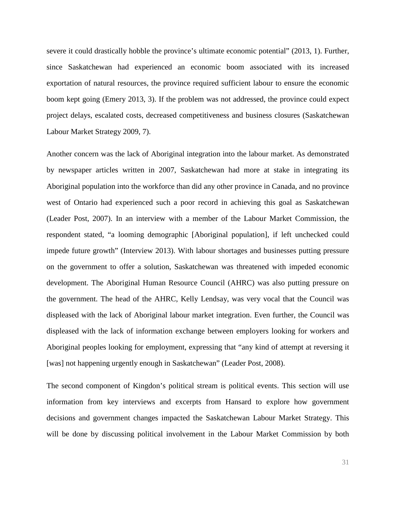severe it could drastically hobble the province's ultimate economic potential" (2013, 1). Further, since Saskatchewan had experienced an economic boom associated with its increased exportation of natural resources, the province required sufficient labour to ensure the economic boom kept going (Emery 2013, 3). If the problem was not addressed, the province could expect project delays, escalated costs, decreased competitiveness and business closures (Saskatchewan Labour Market Strategy 2009, 7).

Another concern was the lack of Aboriginal integration into the labour market. As demonstrated by newspaper articles written in 2007, Saskatchewan had more at stake in integrating its Aboriginal population into the workforce than did any other province in Canada, and no province west of Ontario had experienced such a poor record in achieving this goal as Saskatchewan (Leader Post, 2007). In an interview with a member of the Labour Market Commission, the respondent stated, "a looming demographic [Aboriginal population], if left unchecked could impede future growth" (Interview 2013). With labour shortages and businesses putting pressure on the government to offer a solution, Saskatchewan was threatened with impeded economic development. The Aboriginal Human Resource Council (AHRC) was also putting pressure on the government. The head of the AHRC, Kelly Lendsay, was very vocal that the Council was displeased with the lack of Aboriginal labour market integration. Even further, the Council was displeased with the lack of information exchange between employers looking for workers and Aboriginal peoples looking for employment, expressing that "any kind of attempt at reversing it [was] not happening urgently enough in Saskatchewan" (Leader Post, 2008).

The second component of Kingdon's political stream is political events. This section will use information from key interviews and excerpts from Hansard to explore how government decisions and government changes impacted the Saskatchewan Labour Market Strategy. This will be done by discussing political involvement in the Labour Market Commission by both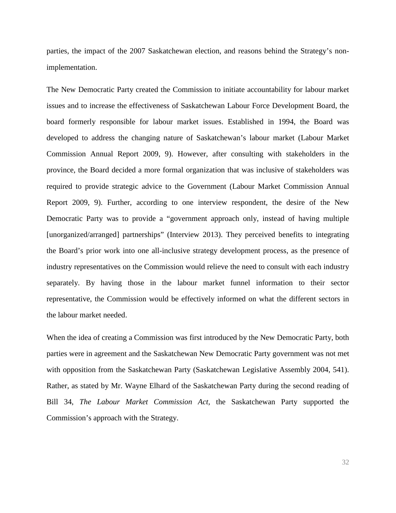parties, the impact of the 2007 Saskatchewan election, and reasons behind the Strategy's nonimplementation.

The New Democratic Party created the Commission to initiate accountability for labour market issues and to increase the effectiveness of Saskatchewan Labour Force Development Board, the board formerly responsible for labour market issues. Established in 1994, the Board was developed to address the changing nature of Saskatchewan's labour market (Labour Market Commission Annual Report 2009, 9). However, after consulting with stakeholders in the province, the Board decided a more formal organization that was inclusive of stakeholders was required to provide strategic advice to the Government (Labour Market Commission Annual Report 2009, 9). Further, according to one interview respondent, the desire of the New Democratic Party was to provide a "government approach only, instead of having multiple [unorganized/arranged] partnerships" (Interview 2013). They perceived benefits to integrating the Board's prior work into one all-inclusive strategy development process, as the presence of industry representatives on the Commission would relieve the need to consult with each industry separately. By having those in the labour market funnel information to their sector representative, the Commission would be effectively informed on what the different sectors in the labour market needed.

When the idea of creating a Commission was first introduced by the New Democratic Party, both parties were in agreement and the Saskatchewan New Democratic Party government was not met with opposition from the Saskatchewan Party (Saskatchewan Legislative Assembly 2004, 541). Rather, as stated by Mr. Wayne Elhard of the Saskatchewan Party during the second reading of Bill 34, *The Labour Market Commission Act,* the Saskatchewan Party supported the Commission's approach with the Strategy.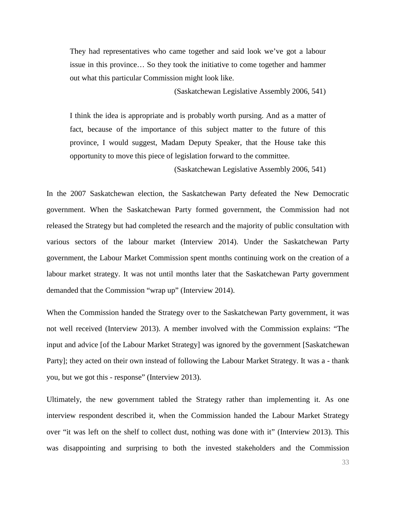They had representatives who came together and said look we've got a labour issue in this province… So they took the initiative to come together and hammer out what this particular Commission might look like.

(Saskatchewan Legislative Assembly 2006, 541)

I think the idea is appropriate and is probably worth pursing. And as a matter of fact, because of the importance of this subject matter to the future of this province, I would suggest, Madam Deputy Speaker, that the House take this opportunity to move this piece of legislation forward to the committee.

(Saskatchewan Legislative Assembly 2006, 541)

In the 2007 Saskatchewan election, the Saskatchewan Party defeated the New Democratic government. When the Saskatchewan Party formed government, the Commission had not released the Strategy but had completed the research and the majority of public consultation with various sectors of the labour market (Interview 2014). Under the Saskatchewan Party government, the Labour Market Commission spent months continuing work on the creation of a labour market strategy. It was not until months later that the Saskatchewan Party government demanded that the Commission "wrap up" (Interview 2014).

When the Commission handed the Strategy over to the Saskatchewan Party government, it was not well received (Interview 2013). A member involved with the Commission explains: "The input and advice [of the Labour Market Strategy] was ignored by the government [Saskatchewan Party]; they acted on their own instead of following the Labour Market Strategy. It was a - thank you, but we got this - response" (Interview 2013).

Ultimately, the new government tabled the Strategy rather than implementing it. As one interview respondent described it, when the Commission handed the Labour Market Strategy over "it was left on the shelf to collect dust, nothing was done with it" (Interview 2013). This was disappointing and surprising to both the invested stakeholders and the Commission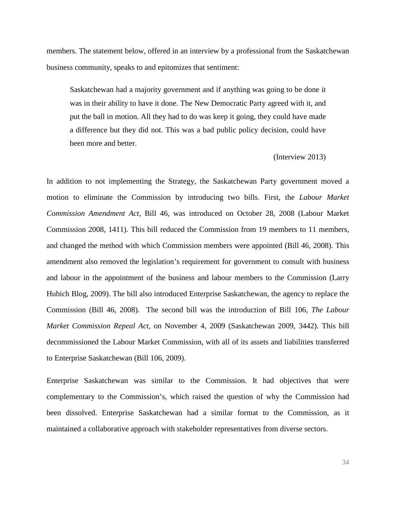members. The statement below, offered in an interview by a professional from the Saskatchewan business community, speaks to and epitomizes that sentiment:

Saskatchewan had a majority government and if anything was going to be done it was in their ability to have it done. The New Democratic Party agreed with it, and put the ball in motion. All they had to do was keep it going, they could have made a difference but they did not. This was a bad public policy decision, could have been more and better.

(Interview 2013)

In addition to not implementing the Strategy, the Saskatchewan Party government moved a motion to eliminate the Commission by introducing two bills. First, the *Labour Market Commission Amendment Act,* Bill 46, was introduced on October 28, 2008 (Labour Market Commission 2008, 1411). This bill reduced the Commission from 19 members to 11 members, and changed the method with which Commission members were appointed (Bill 46, 2008). This amendment also removed the legislation's requirement for government to consult with business and labour in the appointment of the business and labour members to the Commission (Larry Hubich Blog, 2009). The bill also introduced Enterprise Saskatchewan, the agency to replace the Commission (Bill 46, 2008). The second bill was the introduction of Bill 106, *The Labour Market Commission Repeal Act*, on November 4, 2009 (Saskatchewan 2009, 3442). This bill decommissioned the Labour Market Commission, with all of its assets and liabilities transferred to Enterprise Saskatchewan (Bill 106, 2009).

Enterprise Saskatchewan was similar to the Commission. It had objectives that were complementary to the Commission's, which raised the question of why the Commission had been dissolved. Enterprise Saskatchewan had a similar format to the Commission, as it maintained a collaborative approach with stakeholder representatives from diverse sectors.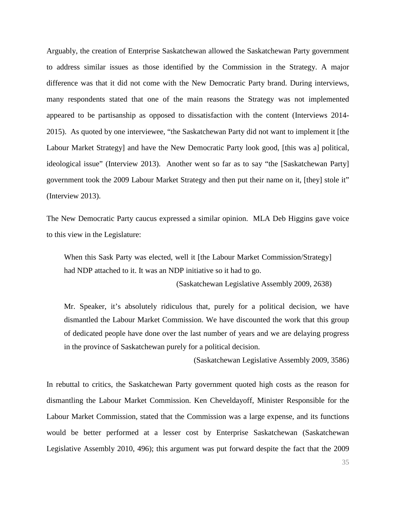Arguably, the creation of Enterprise Saskatchewan allowed the Saskatchewan Party government to address similar issues as those identified by the Commission in the Strategy. A major difference was that it did not come with the New Democratic Party brand. During interviews, many respondents stated that one of the main reasons the Strategy was not implemented appeared to be partisanship as opposed to dissatisfaction with the content (Interviews 2014- 2015). As quoted by one interviewee, "the Saskatchewan Party did not want to implement it [the Labour Market Strategy] and have the New Democratic Party look good, [this was a] political, ideological issue" (Interview 2013). Another went so far as to say "the [Saskatchewan Party] government took the 2009 Labour Market Strategy and then put their name on it, [they] stole it" (Interview 2013).

The New Democratic Party caucus expressed a similar opinion. MLA Deb Higgins gave voice to this view in the Legislature:

When this Sask Party was elected, well it [the Labour Market Commission/Strategy] had NDP attached to it. It was an NDP initiative so it had to go.

(Saskatchewan Legislative Assembly 2009, 2638)

Mr. Speaker, it's absolutely ridiculous that, purely for a political decision, we have dismantled the Labour Market Commission. We have discounted the work that this group of dedicated people have done over the last number of years and we are delaying progress in the province of Saskatchewan purely for a political decision.

(Saskatchewan Legislative Assembly 2009, 3586)

In rebuttal to critics, the Saskatchewan Party government quoted high costs as the reason for dismantling the Labour Market Commission. Ken Cheveldayoff, Minister Responsible for the Labour Market Commission, stated that the Commission was a large expense, and its functions would be better performed at a lesser cost by Enterprise Saskatchewan (Saskatchewan Legislative Assembly 2010, 496); this argument was put forward despite the fact that the 2009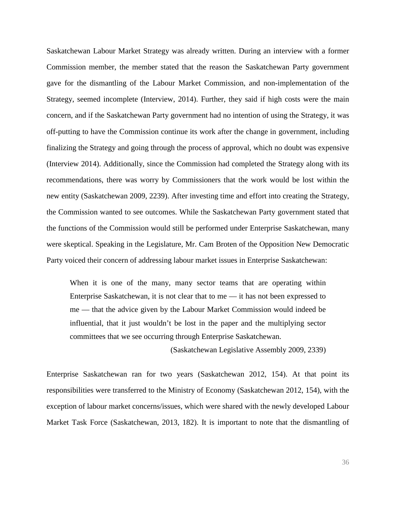Saskatchewan Labour Market Strategy was already written. During an interview with a former Commission member, the member stated that the reason the Saskatchewan Party government gave for the dismantling of the Labour Market Commission, and non-implementation of the Strategy, seemed incomplete (Interview, 2014). Further, they said if high costs were the main concern, and if the Saskatchewan Party government had no intention of using the Strategy, it was off-putting to have the Commission continue its work after the change in government, including finalizing the Strategy and going through the process of approval, which no doubt was expensive (Interview 2014). Additionally, since the Commission had completed the Strategy along with its recommendations, there was worry by Commissioners that the work would be lost within the new entity (Saskatchewan 2009, 2239). After investing time and effort into creating the Strategy, the Commission wanted to see outcomes. While the Saskatchewan Party government stated that the functions of the Commission would still be performed under Enterprise Saskatchewan, many were skeptical. Speaking in the Legislature, Mr. Cam Broten of the Opposition New Democratic Party voiced their concern of addressing labour market issues in Enterprise Saskatchewan:

When it is one of the many, many sector teams that are operating within Enterprise Saskatchewan, it is not clear that to me — it has not been expressed to me — that the advice given by the Labour Market Commission would indeed be influential, that it just wouldn't be lost in the paper and the multiplying sector committees that we see occurring through Enterprise Saskatchewan.

(Saskatchewan Legislative Assembly 2009, 2339)

Enterprise Saskatchewan ran for two years (Saskatchewan 2012, 154). At that point its responsibilities were transferred to the Ministry of Economy (Saskatchewan 2012, 154), with the exception of labour market concerns/issues, which were shared with the newly developed Labour Market Task Force (Saskatchewan, 2013, 182). It is important to note that the dismantling of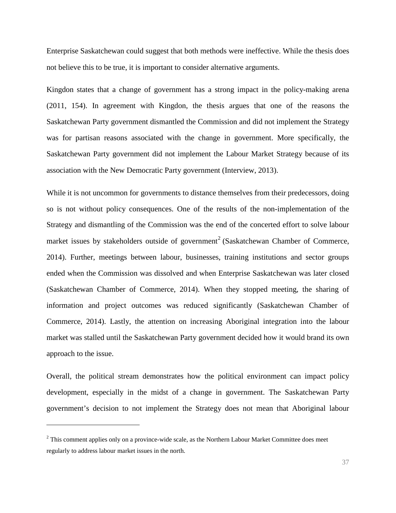Enterprise Saskatchewan could suggest that both methods were ineffective. While the thesis does not believe this to be true, it is important to consider alternative arguments.

Kingdon states that a change of government has a strong impact in the policy-making arena (2011, 154). In agreement with Kingdon, the thesis argues that one of the reasons the Saskatchewan Party government dismantled the Commission and did not implement the Strategy was for partisan reasons associated with the change in government. More specifically, the Saskatchewan Party government did not implement the Labour Market Strategy because of its association with the New Democratic Party government (Interview, 2013).

While it is not uncommon for governments to distance themselves from their predecessors, doing so is not without policy consequences. One of the results of the non-implementation of the Strategy and dismantling of the Commission was the end of the concerted effort to solve labour market issues by stakeholders outside of government<sup>[2](#page-43-0)</sup> (Saskatchewan Chamber of Commerce, 2014). Further, meetings between labour, businesses, training institutions and sector groups ended when the Commission was dissolved and when Enterprise Saskatchewan was later closed (Saskatchewan Chamber of Commerce, 2014). When they stopped meeting, the sharing of information and project outcomes was reduced significantly (Saskatchewan Chamber of Commerce, 2014). Lastly, the attention on increasing Aboriginal integration into the labour market was stalled until the Saskatchewan Party government decided how it would brand its own approach to the issue.

Overall, the political stream demonstrates how the political environment can impact policy development, especially in the midst of a change in government. The Saskatchewan Party government's decision to not implement the Strategy does not mean that Aboriginal labour

j

<span id="page-43-0"></span> $2$  This comment applies only on a province-wide scale, as the Northern Labour Market Committee does meet regularly to address labour market issues in the north.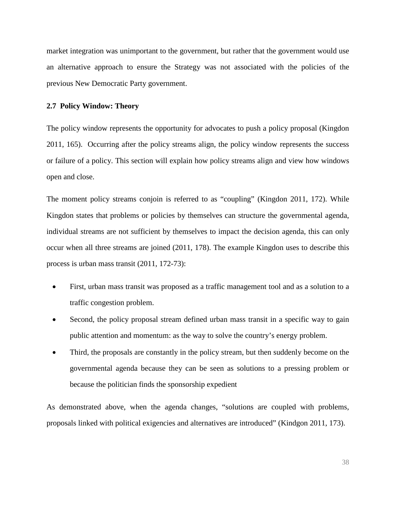market integration was unimportant to the government, but rather that the government would use an alternative approach to ensure the Strategy was not associated with the policies of the previous New Democratic Party government.

### <span id="page-44-0"></span>**2.7 Policy Window: Theory**

The policy window represents the opportunity for advocates to push a policy proposal (Kingdon 2011, 165). Occurring after the policy streams align, the policy window represents the success or failure of a policy. This section will explain how policy streams align and view how windows open and close.

The moment policy streams conjoin is referred to as "coupling" (Kingdon 2011, 172). While Kingdon states that problems or policies by themselves can structure the governmental agenda, individual streams are not sufficient by themselves to impact the decision agenda, this can only occur when all three streams are joined (2011, 178). The example Kingdon uses to describe this process is urban mass transit (2011, 172-73):

- First, urban mass transit was proposed as a traffic management tool and as a solution to a traffic congestion problem.
- Second, the policy proposal stream defined urban mass transit in a specific way to gain public attention and momentum: as the way to solve the country's energy problem.
- Third, the proposals are constantly in the policy stream, but then suddenly become on the governmental agenda because they can be seen as solutions to a pressing problem or because the politician finds the sponsorship expedient

As demonstrated above, when the agenda changes, "solutions are coupled with problems, proposals linked with political exigencies and alternatives are introduced" (Kindgon 2011, 173).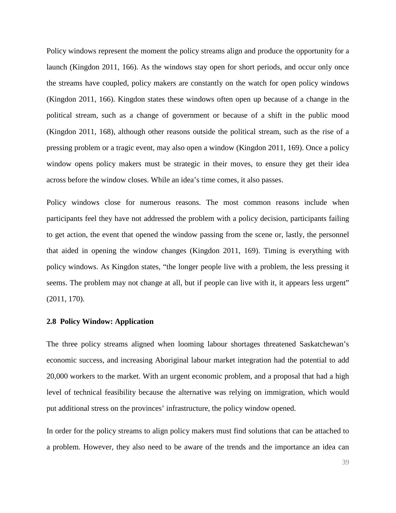Policy windows represent the moment the policy streams align and produce the opportunity for a launch (Kingdon 2011, 166). As the windows stay open for short periods, and occur only once the streams have coupled, policy makers are constantly on the watch for open policy windows (Kingdon 2011, 166). Kingdon states these windows often open up because of a change in the political stream, such as a change of government or because of a shift in the public mood (Kingdon 2011, 168), although other reasons outside the political stream, such as the rise of a pressing problem or a tragic event, may also open a window (Kingdon 2011, 169). Once a policy window opens policy makers must be strategic in their moves, to ensure they get their idea across before the window closes. While an idea's time comes, it also passes.

Policy windows close for numerous reasons. The most common reasons include when participants feel they have not addressed the problem with a policy decision, participants failing to get action, the event that opened the window passing from the scene or, lastly, the personnel that aided in opening the window changes (Kingdon 2011, 169). Timing is everything with policy windows. As Kingdon states, "the longer people live with a problem, the less pressing it seems. The problem may not change at all, but if people can live with it, it appears less urgent" (2011, 170).

### <span id="page-45-0"></span>**2.8 Policy Window: Application**

The three policy streams aligned when looming labour shortages threatened Saskatchewan's economic success, and increasing Aboriginal labour market integration had the potential to add 20,000 workers to the market. With an urgent economic problem, and a proposal that had a high level of technical feasibility because the alternative was relying on immigration, which would put additional stress on the provinces' infrastructure, the policy window opened.

In order for the policy streams to align policy makers must find solutions that can be attached to a problem. However, they also need to be aware of the trends and the importance an idea can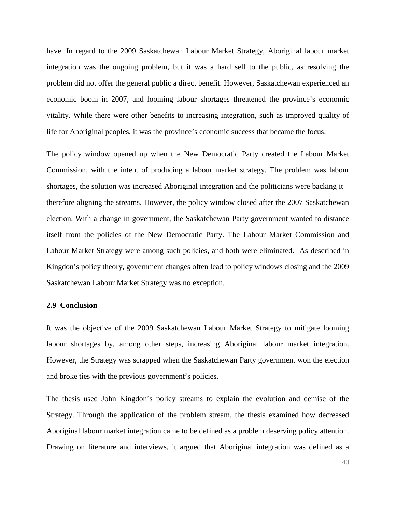have. In regard to the 2009 Saskatchewan Labour Market Strategy, Aboriginal labour market integration was the ongoing problem, but it was a hard sell to the public, as resolving the problem did not offer the general public a direct benefit. However, Saskatchewan experienced an economic boom in 2007, and looming labour shortages threatened the province's economic vitality. While there were other benefits to increasing integration, such as improved quality of life for Aboriginal peoples, it was the province's economic success that became the focus.

The policy window opened up when the New Democratic Party created the Labour Market Commission, with the intent of producing a labour market strategy. The problem was labour shortages, the solution was increased Aboriginal integration and the politicians were backing it – therefore aligning the streams. However, the policy window closed after the 2007 Saskatchewan election. With a change in government, the Saskatchewan Party government wanted to distance itself from the policies of the New Democratic Party. The Labour Market Commission and Labour Market Strategy were among such policies, and both were eliminated. As described in Kingdon's policy theory, government changes often lead to policy windows closing and the 2009 Saskatchewan Labour Market Strategy was no exception.

### <span id="page-46-0"></span>**2.9 Conclusion**

It was the objective of the 2009 Saskatchewan Labour Market Strategy to mitigate looming labour shortages by, among other steps, increasing Aboriginal labour market integration. However, the Strategy was scrapped when the Saskatchewan Party government won the election and broke ties with the previous government's policies.

The thesis used John Kingdon's policy streams to explain the evolution and demise of the Strategy. Through the application of the problem stream, the thesis examined how decreased Aboriginal labour market integration came to be defined as a problem deserving policy attention. Drawing on literature and interviews, it argued that Aboriginal integration was defined as a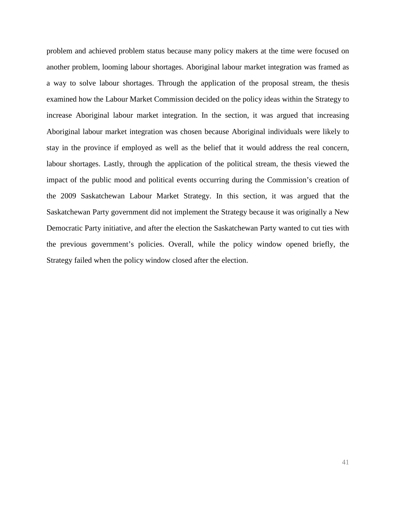problem and achieved problem status because many policy makers at the time were focused on another problem, looming labour shortages. Aboriginal labour market integration was framed as a way to solve labour shortages. Through the application of the proposal stream, the thesis examined how the Labour Market Commission decided on the policy ideas within the Strategy to increase Aboriginal labour market integration. In the section, it was argued that increasing Aboriginal labour market integration was chosen because Aboriginal individuals were likely to stay in the province if employed as well as the belief that it would address the real concern, labour shortages. Lastly, through the application of the political stream, the thesis viewed the impact of the public mood and political events occurring during the Commission's creation of the 2009 Saskatchewan Labour Market Strategy. In this section, it was argued that the Saskatchewan Party government did not implement the Strategy because it was originally a New Democratic Party initiative, and after the election the Saskatchewan Party wanted to cut ties with the previous government's policies. Overall, while the policy window opened briefly, the Strategy failed when the policy window closed after the election.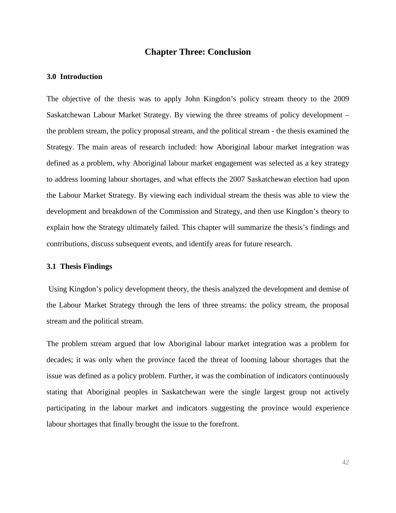## **Chapter Three: Conclusion**

### <span id="page-48-1"></span><span id="page-48-0"></span>**3.0 Introduction**

The objective of the thesis was to apply John Kingdon's policy stream theory to the 2009 Saskatchewan Labour Market Strategy. By viewing the three streams of policy development – the problem stream, the policy proposal stream, and the political stream - the thesis examined the Strategy. The main areas of research included: how Aboriginal labour market integration was defined as a problem, why Aboriginal labour market engagement was selected as a key strategy to address looming labour shortages, and what effects the 2007 Saskatchewan election had upon the Labour Market Strategy. By viewing each individual stream the thesis was able to view the development and breakdown of the Commission and Strategy, and then use Kingdon's theory to explain how the Strategy ultimately failed. This chapter will summarize the thesis's findings and contributions, discuss subsequent events, and identify areas for future research.

#### <span id="page-48-2"></span>**3.1 Thesis Findings**

Using Kingdon's policy development theory, the thesis analyzed the development and demise of the Labour Market Strategy through the lens of three streams: the policy stream, the proposal stream and the political stream.

The problem stream argued that low Aboriginal labour market integration was a problem for decades; it was only when the province faced the threat of looming labour shortages that the issue was defined as a policy problem. Further, it was the combination of indicators continuously stating that Aboriginal peoples in Saskatchewan were the single largest group not actively participating in the labour market and indicators suggesting the province would experience labour shortages that finally brought the issue to the forefront.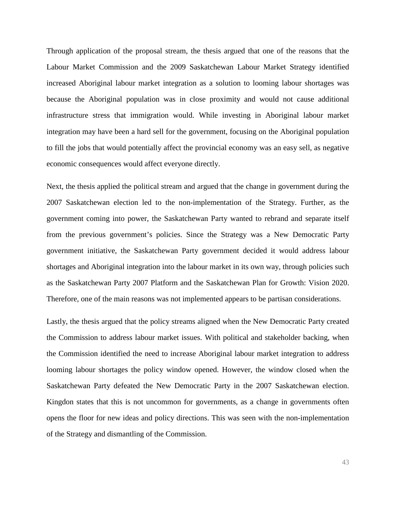Through application of the proposal stream, the thesis argued that one of the reasons that the Labour Market Commission and the 2009 Saskatchewan Labour Market Strategy identified increased Aboriginal labour market integration as a solution to looming labour shortages was because the Aboriginal population was in close proximity and would not cause additional infrastructure stress that immigration would. While investing in Aboriginal labour market integration may have been a hard sell for the government, focusing on the Aboriginal population to fill the jobs that would potentially affect the provincial economy was an easy sell, as negative economic consequences would affect everyone directly.

Next, the thesis applied the political stream and argued that the change in government during the 2007 Saskatchewan election led to the non-implementation of the Strategy. Further, as the government coming into power, the Saskatchewan Party wanted to rebrand and separate itself from the previous government's policies. Since the Strategy was a New Democratic Party government initiative, the Saskatchewan Party government decided it would address labour shortages and Aboriginal integration into the labour market in its own way, through policies such as the Saskatchewan Party 2007 Platform and the Saskatchewan Plan for Growth: Vision 2020. Therefore, one of the main reasons was not implemented appears to be partisan considerations.

Lastly, the thesis argued that the policy streams aligned when the New Democratic Party created the Commission to address labour market issues. With political and stakeholder backing, when the Commission identified the need to increase Aboriginal labour market integration to address looming labour shortages the policy window opened. However, the window closed when the Saskatchewan Party defeated the New Democratic Party in the 2007 Saskatchewan election. Kingdon states that this is not uncommon for governments, as a change in governments often opens the floor for new ideas and policy directions. This was seen with the non-implementation of the Strategy and dismantling of the Commission.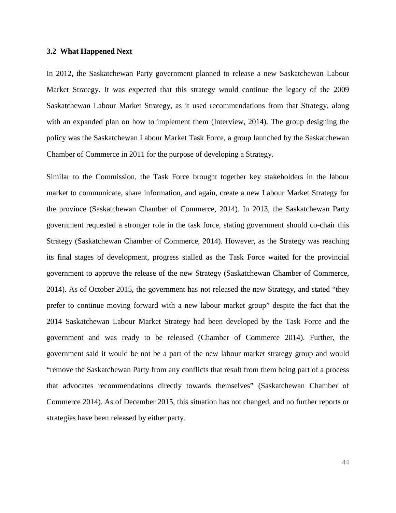#### <span id="page-50-0"></span>**3.2 What Happened Next**

In 2012, the Saskatchewan Party government planned to release a new Saskatchewan Labour Market Strategy. It was expected that this strategy would continue the legacy of the 2009 Saskatchewan Labour Market Strategy, as it used recommendations from that Strategy, along with an expanded plan on how to implement them (Interview, 2014). The group designing the policy was the Saskatchewan Labour Market Task Force, a group launched by the Saskatchewan Chamber of Commerce in 2011 for the purpose of developing a Strategy.

Similar to the Commission, the Task Force brought together key stakeholders in the labour market to communicate, share information, and again, create a new Labour Market Strategy for the province (Saskatchewan Chamber of Commerce, 2014). In 2013, the Saskatchewan Party government requested a stronger role in the task force, stating government should co-chair this Strategy (Saskatchewan Chamber of Commerce, 2014). However, as the Strategy was reaching its final stages of development, progress stalled as the Task Force waited for the provincial government to approve the release of the new Strategy (Saskatchewan Chamber of Commerce, 2014). As of October 2015, the government has not released the new Strategy, and stated "they prefer to continue moving forward with a new labour market group" despite the fact that the 2014 Saskatchewan Labour Market Strategy had been developed by the Task Force and the government and was ready to be released (Chamber of Commerce 2014). Further, the government said it would be not be a part of the new labour market strategy group and would "remove the Saskatchewan Party from any conflicts that result from them being part of a process that advocates recommendations directly towards themselves" (Saskatchewan Chamber of Commerce 2014). As of December 2015, this situation has not changed, and no further reports or strategies have been released by either party.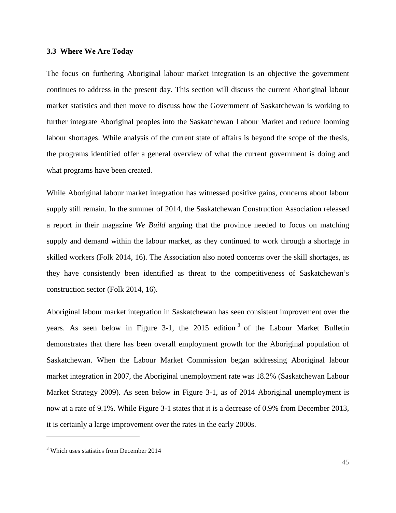#### <span id="page-51-0"></span>**3.3 Where We Are Today**

The focus on furthering Aboriginal labour market integration is an objective the government continues to address in the present day. This section will discuss the current Aboriginal labour market statistics and then move to discuss how the Government of Saskatchewan is working to further integrate Aboriginal peoples into the Saskatchewan Labour Market and reduce looming labour shortages. While analysis of the current state of affairs is beyond the scope of the thesis, the programs identified offer a general overview of what the current government is doing and what programs have been created.

While Aboriginal labour market integration has witnessed positive gains, concerns about labour supply still remain. In the summer of 2014, the Saskatchewan Construction Association released a report in their magazine *We Build* arguing that the province needed to focus on matching supply and demand within the labour market, as they continued to work through a shortage in skilled workers (Folk 2014, 16). The Association also noted concerns over the skill shortages, as they have consistently been identified as threat to the competitiveness of Saskatchewan's construction sector (Folk 2014, 16).

Aboriginal labour market integration in Saskatchewan has seen consistent improvement over the years. As seen below in Figure [3](#page-51-1)-1, the  $2015$  edition<sup>3</sup> of the Labour Market Bulletin demonstrates that there has been overall employment growth for the Aboriginal population of Saskatchewan. When the Labour Market Commission began addressing Aboriginal labour market integration in 2007, the Aboriginal unemployment rate was 18.2% (Saskatchewan Labour Market Strategy 2009). As seen below in Figure 3-1, as of 2014 Aboriginal unemployment is now at a rate of 9.1%. While Figure 3-1 states that it is a decrease of 0.9% from December 2013, it is certainly a large improvement over the rates in the early 2000s.

j

<span id="page-51-1"></span> $3$  Which uses statistics from December 2014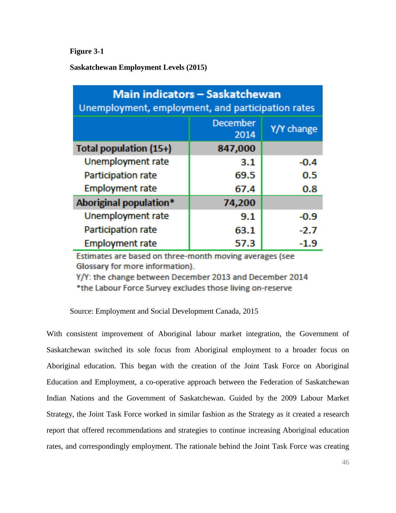**Figure 3-1**

**Saskatchewan Employment Levels (2015)**

| <u> Main indicators – Saskatchewan</u><br>Unemployment, employment, and participation rates |                  |            |  |
|---------------------------------------------------------------------------------------------|------------------|------------|--|
|                                                                                             | December<br>2014 | Y/Y change |  |
| Total population (15+)                                                                      | 847,000          |            |  |
| Unemployment rate                                                                           | 3.1              | $-0.4$     |  |
| Participation rate                                                                          | 69.5             | 0.5        |  |
| <b>Employment rate</b>                                                                      | 67.4             | 0.8        |  |
| Aboriginal population*                                                                      | 74,200           |            |  |
| Unemployment rate                                                                           | 9.1              | -0.9       |  |
| Participation rate                                                                          | 63.1             | $-2.7$     |  |
| <b>Employment rate</b>                                                                      | 57.3             |            |  |

Estimates are based on three-month moving averages (see Glossary for more information).

Y/Y: the change between December 2013 and December 2014 \*the Labour Force Survey excludes those living on-reserve

Source: Employment and Social Development Canada, 2015

With consistent improvement of Aboriginal labour market integration, the Government of Saskatchewan switched its sole focus from Aboriginal employment to a broader focus on Aboriginal education. This began with the creation of the Joint Task Force on Aboriginal Education and Employment, a co-operative approach between the Federation of Saskatchewan Indian Nations and the Government of Saskatchewan. Guided by the 2009 Labour Market Strategy, the Joint Task Force worked in similar fashion as the Strategy as it created a research report that offered recommendations and strategies to continue increasing Aboriginal education rates, and correspondingly employment. The rationale behind the Joint Task Force was creating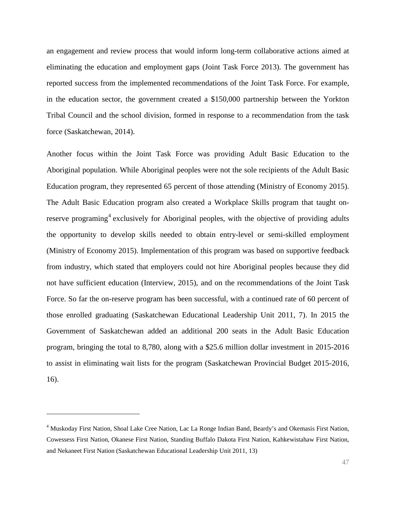an engagement and review process that would inform long-term collaborative actions aimed at eliminating the education and employment gaps (Joint Task Force 2013). The government has reported success from the implemented recommendations of the Joint Task Force. For example, in the education sector, the government created a \$150,000 partnership between the Yorkton Tribal Council and the school division, formed in response to a recommendation from the task force (Saskatchewan, 2014).

Another focus within the Joint Task Force was providing Adult Basic Education to the Aboriginal population. While Aboriginal peoples were not the sole recipients of the Adult Basic Education program, they represented 65 percent of those attending (Ministry of Economy 2015). The Adult Basic Education program also created a Workplace Skills program that taught on-reserve programing<sup>[4](#page-53-0)</sup> exclusively for Aboriginal peoples, with the objective of providing adults the opportunity to develop skills needed to obtain entry-level or semi-skilled employment (Ministry of Economy 2015). Implementation of this program was based on supportive feedback from industry, which stated that employers could not hire Aboriginal peoples because they did not have sufficient education (Interview, 2015), and on the recommendations of the Joint Task Force. So far the on-reserve program has been successful, with a continued rate of 60 percent of those enrolled graduating (Saskatchewan Educational Leadership Unit 2011, 7). In 2015 the Government of Saskatchewan added an additional 200 seats in the Adult Basic Education program, bringing the total to 8,780, along with a \$25.6 million dollar investment in 2015-2016 to assist in eliminating wait lists for the program (Saskatchewan Provincial Budget 2015-2016, 16).

j

<span id="page-53-0"></span><sup>4</sup> Muskoday First Nation, Shoal Lake Cree Nation, Lac La Ronge Indian Band, Beardy's and Okemasis First Nation, Cowessess First Nation, Okanese First Nation, Standing Buffalo Dakota First Nation, Kahkewistahaw First Nation, and Nekaneet First Nation (Saskatchewan Educational Leadership Unit 2011, 13)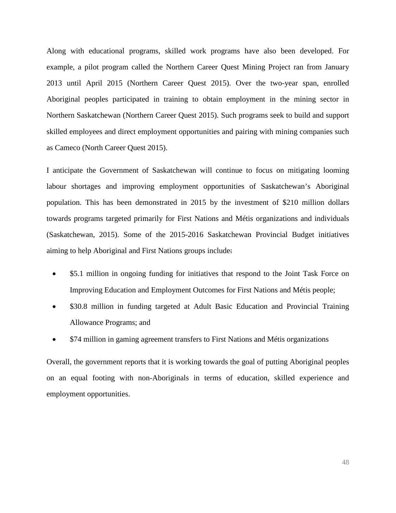Along with educational programs, skilled work programs have also been developed. For example, a pilot program called the Northern Career Quest Mining Project ran from January 2013 until April 2015 (Northern Career Quest 2015). Over the two-year span, enrolled Aboriginal peoples participated in training to obtain employment in the mining sector in Northern Saskatchewan (Northern Career Quest 2015). Such programs seek to build and support skilled employees and direct employment opportunities and pairing with mining companies such as Cameco (North Career Quest 2015).

I anticipate the Government of Saskatchewan will continue to focus on mitigating looming labour shortages and improving employment opportunities of Saskatchewan's Aboriginal population. This has been demonstrated in 2015 by the investment of \$210 million dollars towards programs targeted primarily for First Nations and Métis organizations and individuals (Saskatchewan, 2015). Some of the 2015-2016 Saskatchewan Provincial Budget initiatives aiming to help Aboriginal and First Nations groups include:

- \$5.1 million in ongoing funding for initiatives that respond to the Joint Task Force on Improving Education and Employment Outcomes for First Nations and Métis people;
- \$30.8 million in funding targeted at Adult Basic Education and Provincial Training Allowance Programs; and
- \$74 million in gaming agreement transfers to First Nations and Métis organizations

<span id="page-54-0"></span>Overall, the government reports that it is working towards the goal of putting Aboriginal peoples on an equal footing with non-Aboriginals in terms of education, skilled experience and employment opportunities.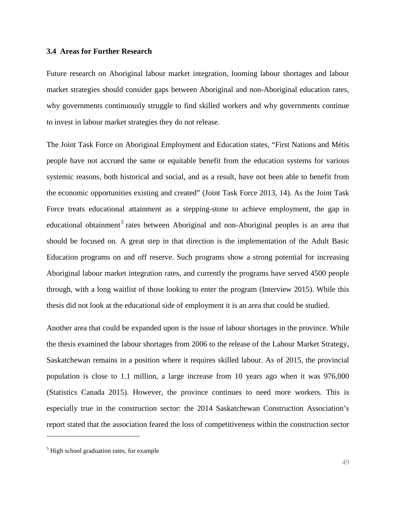#### **3.4 Areas for Further Research**

Future research on Aboriginal labour market integration, looming labour shortages and labour market strategies should consider gaps between Aboriginal and non-Aboriginal education rates, why governments continuously struggle to find skilled workers and why governments continue to invest in labour market strategies they do not release.

The Joint Task Force on Aboriginal Employment and Education states, "First Nations and Métis people have not accrued the same or equitable benefit from the education systems for various systemic reasons, both historical and social, and as a result, have not been able to benefit from the economic opportunities existing and created" (Joint Task Force 2013, 14). As the Joint Task Force treats educational attainment as a stepping-stone to achieve employment, the gap in educational obtainment<sup>[5](#page-55-0)</sup> rates between Aboriginal and non-Aboriginal peoples is an area that should be focused on. A great step in that direction is the implementation of the Adult Basic Education programs on and off reserve. Such programs show a strong potential for increasing Aboriginal labour market integration rates, and currently the programs have served 4500 people through, with a long waitlist of those looking to enter the program (Interview 2015). While this thesis did not look at the educational side of employment it is an area that could be studied.

Another area that could be expanded upon is the issue of labour shortages in the province. While the thesis examined the labour shortages from 2006 to the release of the Labour Market Strategy, Saskatchewan remains in a position where it requires skilled labour. As of 2015, the provincial population is close to 1.1 million, a large increase from 10 years ago when it was 976,000 (Statistics Canada 2015). However, the province continues to need more workers. This is especially true in the construction sector: the 2014 Saskatchewan Construction Association's report stated that the association feared the loss of competitiveness within the construction sector

j

<span id="page-55-0"></span> $<sup>5</sup>$  High school graduation rates, for example</sup>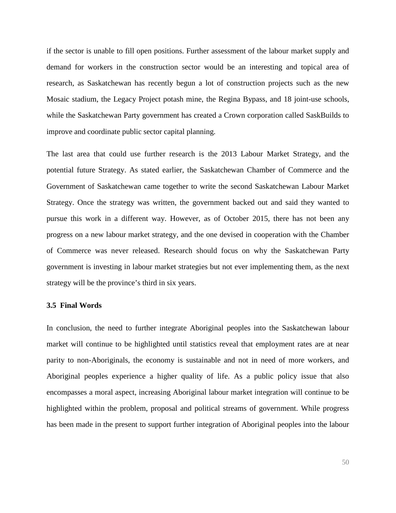if the sector is unable to fill open positions. Further assessment of the labour market supply and demand for workers in the construction sector would be an interesting and topical area of research, as Saskatchewan has recently begun a lot of construction projects such as the new Mosaic stadium, the Legacy Project potash mine, the Regina Bypass, and 18 joint-use schools, while the Saskatchewan Party government has created a Crown corporation called SaskBuilds to improve and coordinate public sector capital planning.

The last area that could use further research is the 2013 Labour Market Strategy, and the potential future Strategy. As stated earlier, the Saskatchewan Chamber of Commerce and the Government of Saskatchewan came together to write the second Saskatchewan Labour Market Strategy. Once the strategy was written, the government backed out and said they wanted to pursue this work in a different way. However, as of October 2015, there has not been any progress on a new labour market strategy, and the one devised in cooperation with the Chamber of Commerce was never released. Research should focus on why the Saskatchewan Party government is investing in labour market strategies but not ever implementing them, as the next strategy will be the province's third in six years.

#### <span id="page-56-0"></span>**3.5 Final Words**

In conclusion, the need to further integrate Aboriginal peoples into the Saskatchewan labour market will continue to be highlighted until statistics reveal that employment rates are at near parity to non-Aboriginals, the economy is sustainable and not in need of more workers, and Aboriginal peoples experience a higher quality of life. As a public policy issue that also encompasses a moral aspect, increasing Aboriginal labour market integration will continue to be highlighted within the problem, proposal and political streams of government. While progress has been made in the present to support further integration of Aboriginal peoples into the labour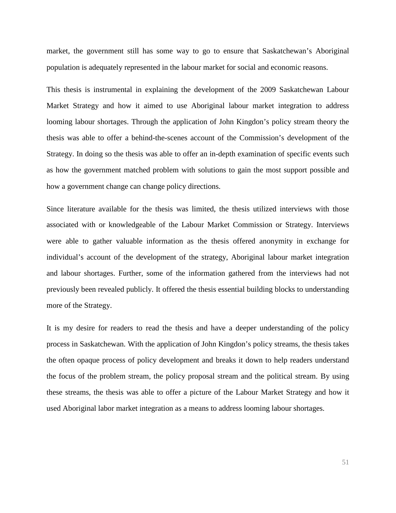market, the government still has some way to go to ensure that Saskatchewan's Aboriginal population is adequately represented in the labour market for social and economic reasons.

This thesis is instrumental in explaining the development of the 2009 Saskatchewan Labour Market Strategy and how it aimed to use Aboriginal labour market integration to address looming labour shortages. Through the application of John Kingdon's policy stream theory the thesis was able to offer a behind-the-scenes account of the Commission's development of the Strategy. In doing so the thesis was able to offer an in-depth examination of specific events such as how the government matched problem with solutions to gain the most support possible and how a government change can change policy directions.

Since literature available for the thesis was limited, the thesis utilized interviews with those associated with or knowledgeable of the Labour Market Commission or Strategy. Interviews were able to gather valuable information as the thesis offered anonymity in exchange for individual's account of the development of the strategy, Aboriginal labour market integration and labour shortages. Further, some of the information gathered from the interviews had not previously been revealed publicly. It offered the thesis essential building blocks to understanding more of the Strategy.

It is my desire for readers to read the thesis and have a deeper understanding of the policy process in Saskatchewan. With the application of John Kingdon's policy streams, the thesis takes the often opaque process of policy development and breaks it down to help readers understand the focus of the problem stream, the policy proposal stream and the political stream. By using these streams, the thesis was able to offer a picture of the Labour Market Strategy and how it used Aboriginal labor market integration as a means to address looming labour shortages.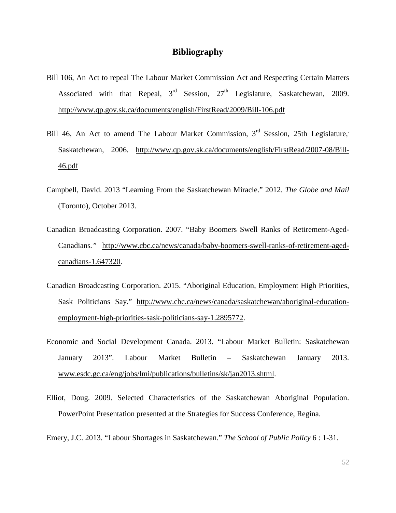## **Bibliography**

- <span id="page-58-0"></span>Bill 106, An Act to repeal The Labour Market Commission Act and Respecting Certain Matters Associated with that Repeal,  $3<sup>rd</sup>$  Session,  $27<sup>th</sup>$  Legislature, Saskatchewan, 2009. <http://www.qp.gov.sk.ca/documents/english/FirstRead/2009/Bill-106.pdf>
- Bill 46, An Act to amend The Labour Market Commission,  $3<sup>rd</sup>$  Session, 25th Legislature, Saskatchewan, 2006. [http://www.qp.gov.sk.ca/documents/english/FirstRead/2007-08/Bill-](http://www.qp.gov.sk.ca/documents/english/FirstRead/2007-08/Bill-46.pdf)[46.pdf](http://www.qp.gov.sk.ca/documents/english/FirstRead/2007-08/Bill-46.pdf)
- Campbell, David. 2013 "Learning From the Saskatchewan Miracle." 2012. *The Globe and Mail* (Toronto), October 2013.
- Canadian Broadcasting Corporation. 2007. "Baby Boomers Swell Ranks of Retirement-Aged-Canadians*."* [http://www.cbc.ca/news/canada/baby-boomers-swell-ranks-of-retirement-aged](http://www.cbc.ca/news/canada/baby-boomers-swell-ranks-of-retirement-aged-canadians-1.647320)[canadians-1.647320.](http://www.cbc.ca/news/canada/baby-boomers-swell-ranks-of-retirement-aged-canadians-1.647320)
- Canadian Broadcasting Corporation. 2015. "Aboriginal Education, Employment High Priorities, Sask Politicians Say." [http://www.cbc.ca/news/canada/saskatchewan/aboriginal-education](http://www.cbc.ca/news/canada/saskatchewan/aboriginal-%09education-employment-high-priorities-sask-politicians-say-1.2895772)[employment-high-priorities-sask-politicians-say-1.2895772.](http://www.cbc.ca/news/canada/saskatchewan/aboriginal-%09education-employment-high-priorities-sask-politicians-say-1.2895772)
- Economic and Social Development Canada. 2013. "Labour Market Bulletin: Saskatchewan January 2013". Labour Market Bulletin – Saskatchewan January 2013. www.esdc.gc.ca/eng/jobs/lmi/publications/bulletins/sk/jan2013.shtml.
- Elliot, Doug. 2009. Selected Characteristics of the Saskatchewan Aboriginal Population. PowerPoint Presentation presented at the Strategies for Success Conference, Regina.
- Emery, J.C. 2013. "Labour Shortages in Saskatchewan." *The School of Public Policy* 6 : 1-31.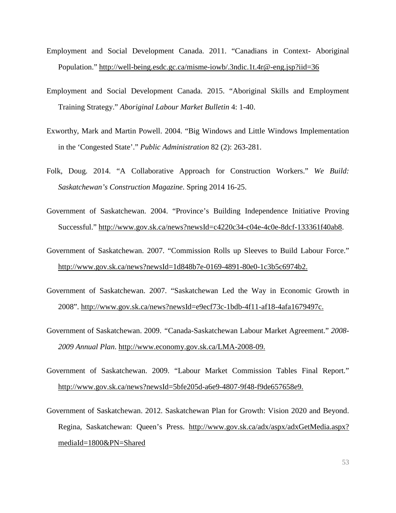- Employment and Social Development Canada. 2011. "Canadians in Context- Aboriginal Population." <http://well-being.esdc.gc.ca/misme-iowb/.3ndic.1t.4r@-eng.jsp?iid=36>
- Employment and Social Development Canada. 2015. "Aboriginal Skills and Employment Training Strategy." *Aboriginal Labour Market Bulletin* 4: 1-40.
- Exworthy, Mark and Martin Powell. 2004. "Big Windows and Little Windows Implementation in the 'Congested State'." *Public Administration* 82 (2): 263-281.
- Folk, Doug. 2014. "A Collaborative Approach for Construction Workers." *We Build: Saskatchewan's Construction Magazine*. Spring 2014 16-25.
- Government of Saskatchewan. 2004. "Province's Building Independence Initiative Proving Successful." [http://www.gov.sk.ca/news?newsId=c4220c34-c04e-4c0e-8dcf-133361f40ab8.](http://www.gov.sk.ca/news?newsId=c4220c34-c04e-4c0e-8dcf-133361f40ab8)
- Government of Saskatchewan. 2007. "Commission Rolls up Sleeves to Build Labour Force." [http://www.gov.sk.ca/news?newsId=1d848b7e-0169-4891-80e0-1c3b5c6974b2.](http://www.gov.sk.ca/news?newsId=1d848b7e-0169-4891-80e0-1c3b5c6974b2)
- Government of Saskatchewan. 2007. "Saskatchewan Led the Way in Economic Growth in 2008". [http://www.gov.sk.ca/news?newsId=e9ecf73c-1bdb-4f11-af18-4afa1679497c.](http://www.gov.sk.ca/news?newsId=e9ecf73c-1bdb-4f11-af18-4afa1679497c)
- Government of Saskatchewan. 2009. *"*Canada-Saskatchewan Labour Market Agreement." *2008- 2009 Annual Plan*. [http://www.economy.gov.sk.ca/LMA-2008-09.](http://www.economy.gov.sk.ca/LMA-2008-09)
- Government of Saskatchewan. 2009. "Labour Market Commission Tables Final Report*.*" [http://www.gov.sk.ca/news?newsId=5bfe205d-a6e9-4807-9f48-f9de657658e9.](http://www.gov.sk.ca/news?newsId=5bfe205d-a6e9-4807-9f48-f9de657658e9)
- Government of Saskatchewan. 2012. Saskatchewan Plan for Growth: Vision 2020 and Beyond. Regina, Saskatchewan: Queen's Press. [http://www.gov.sk.ca/adx/aspx/adxGetMedia.aspx?](http://www.gov.sk.ca/adx/aspx/adxGetMedia.aspx?mediaId=1800&PN=Shared) [mediaId=1800&PN=Shared](http://www.gov.sk.ca/adx/aspx/adxGetMedia.aspx?mediaId=1800&PN=Shared)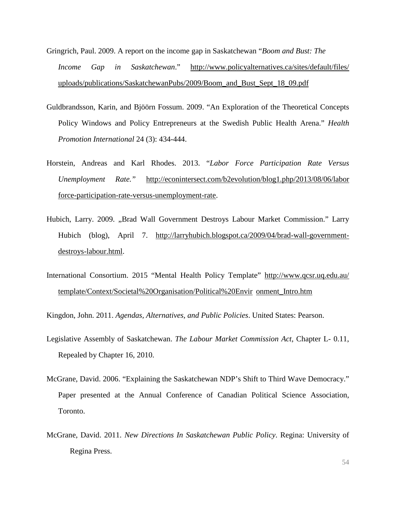- Gringrich, Paul. 2009. A report on the income gap in Saskatchewan "*Boom and Bust: The Income Gap in Saskatchewan*." [http://www.policyalternatives.ca/sites/default/files/](http://www.policyalternatives.ca/sites/default/files/uploads/publications/SaskatchewanP) [uploads/publications/SaskatchewanPu](http://www.policyalternatives.ca/sites/default/files/uploads/publications/SaskatchewanP)bs/2009/Boom\_and\_Bust\_Sept\_18\_09.pdf
- Guldbrandsson, Karin, and Bjöörn Fossum. 2009. "An Exploration of the Theoretical Concepts Policy Windows and Policy Entrepreneurs at the Swedish Public Health Arena." *Health Promotion International* 24 (3): 434-444.
- Horstein, Andreas and Karl Rhodes. 2013. "*Labor Force Participation Rate Versus Unemployment Rate."* [http://econintersect.com/b2evolution/blog1.php/2013/08/06/labor](http://econintersect.com/b2evolution/blog1.php/2013/08/06/labor-force-participation-rate-versus-unemployment-rate) [force-participation-rate-versus-unemployment-rate.](http://econintersect.com/b2evolution/blog1.php/2013/08/06/labor-force-participation-rate-versus-unemployment-rate)
- Hubich, Larry. 2009. "Brad Wall Government Destroys Labour Market Commission." Larry Hubich (blog), April 7. [http://larryhubich.blogspot.ca/2009/04/brad-wall-government](http://larryhubich.blogspot.ca/2009/04/brad-wall-government-%09destroys-labour.html)[destroys-labour.html.](http://larryhubich.blogspot.ca/2009/04/brad-wall-government-%09destroys-labour.html)
- International Consortium. 2015 "Mental Health Policy Template" [http://www.qcsr.uq.edu.au/](http://www.qcsr.uq.edu.au/template/Context/Societal%20Organisation/Political%20Envir%09onment_Intro.htm) [template/Context/Societal%20Organisation/Political%20Envir](http://www.qcsr.uq.edu.au/template/Context/Societal%20Organisation/Political%20Envir%09onment_Intro.htm) onment\_Intro.htm

Kingdon, John. 2011. *Agendas, Alternatives, and Public Policies*. United States: Pearson.

- Legislative Assembly of Saskatchewan. *The Labour Market Commission Act*, Chapter L- 0.11, Repealed by Chapter 16, 2010.
- McGrane, David. 2006. "Explaining the Saskatchewan NDP's Shift to Third Wave Democracy." Paper presented at the Annual Conference of Canadian Political Science Association, Toronto.
- McGrane, David. 2011. *New Directions In Saskatchewan Public Policy*. Regina: University of Regina Press.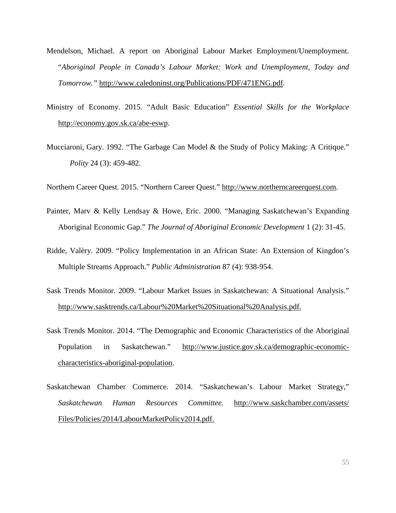- Mendelson, Michael. A report on Aboriginal Labour Market Employment/Unemployment. "*Aboriginal People in Canada's Labour Market: Work and Unemployment, Today and Tomorrow."* [http://www.caledoninst.org/Publications/PDF/471ENG.pdf.](http://www.caledoninst.org/Publications/PDF/471ENG.pdf)
- Ministry of Economy. 2015. "Adult Basic Education" *Essential Skills for the Workplace* [http://economy.gov.sk.ca/abe-eswp.](http://economy.gov.sk.ca/abe-eswp)
- Mucciaroni, Gary. 1992. "The Garbage Can Model & the Study of Policy Making: A Critique." *Polity* 24 (3): 459-482.

Northern Career Quest. 2015. "Northern Career Quest." [http://www.northerncareerquest.com.](http://www.northerncareerquest.com/)

- Painter, Marv & Kelly Lendsay & Howe, Eric. 2000. "Managing Saskatchewan's Expanding Aboriginal Economic Gap." *The Journal of Aboriginal Economic Development* 1 (2): 31-45.
- Ridde, Valèry. 2009. "Policy Implementation in an African State: An Extension of Kingdon's Multiple Streams Approach." *Public Administration* 87 (4): 938-954.
- Sask Trends Monitor. 2009. "Labour Market Issues in Saskatchewan: A Situational Analysis." [http://www.sasktrends.ca/Labour%20Market%20Situational%20Analysis.pdf.](http://www.sasktrends.ca/Labour%20Market%20Situational%20Analysis.pdf)
- Sask Trends Monitor. 2014. "The Demographic and Economic Characteristics of the Aboriginal Population in Saskatchewan." [http://www.justice.gov.sk.ca/demographic-economic](http://www.justice.gov.sk.ca/demographic-economic-%2509characteristics-aboriginal-population)[characteristics-aboriginal-population.](http://www.justice.gov.sk.ca/demographic-economic-%2509characteristics-aboriginal-population)
- Saskatchewan Chamber Commerce. 2014. "Saskatchewan's Labour Market Strategy," *Saskatchewan Human Resources Committee.* [http://www.saskchamber.com/assets/](http://www.saskchamber.com/assets/Files/Policies/2014/LabourMarketPolicy2014.pdf) [Files/Policies/2014/LabourMarketPolicy2014.pdf.](http://www.saskchamber.com/assets/Files/Policies/2014/LabourMarketPolicy2014.pdf)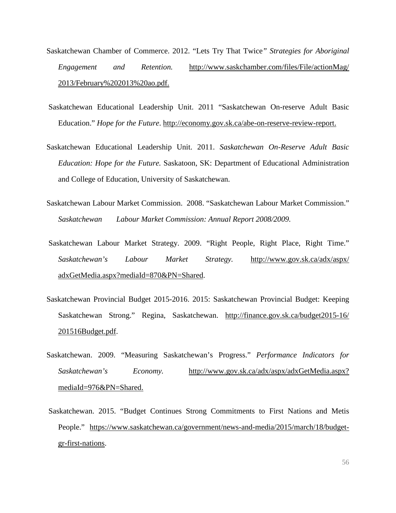- Saskatchewan Chamber of Commerce. 2012. "Lets Try That Twice*" Strategies for Aboriginal Engagement and Retention.* [http://www.saskchamber.com/files/File/actionMag/](http://www.saskchamber.com/files/File/actionMag/2013/February%25202013%2520ao.pdf) [2013/February%202013%20ao.pdf.](http://www.saskchamber.com/files/File/actionMag/2013/February%25202013%2520ao.pdf)
- Saskatchewan Educational Leadership Unit. 2011 "Saskatchewan On-reserve Adult Basic Education." *Hope for the Future*. [http://economy.gov.sk.ca/abe-on-reserve-review-report.](http://economy.gov.sk.ca/abe-on-reserve-review-report)
- Saskatchewan Educational Leadership Unit. 2011. *Saskatchewan On-Reserve Adult Basic Education: Hope for the Future.* Saskatoon, SK: Department of Educational Administration and College of Education, University of Saskatchewan.
- Saskatchewan Labour Market Commission. 2008. "Saskatchewan Labour Market Commission." *Saskatchewan Labour Market Commission: Annual Report 2008/2009.*
- Saskatchewan Labour Market Strategy. 2009. "Right People, Right Place, Right Time." *Saskatchewan's Labour Market Strategy.* [http://www.gov.sk.ca/adx/aspx/](http://www.gov.sk.ca/adx/aspx/adxGetMedia.aspx?mediaId=870&PN=Shared) [adxGetMedia.aspx?mediaId=870&PN=Shared.](http://www.gov.sk.ca/adx/aspx/adxGetMedia.aspx?mediaId=870&PN=Shared)
- Saskatchewan Provincial Budget 2015-2016. 2015: Saskatchewan Provincial Budget: Keeping Saskatchewan Strong." Regina, Saskatchewan. [http://finance.gov.sk.ca/budget2015-1](http://finance.gov.sk.ca/budget2015-)6/ 201516Budget.pdf.
- Saskatchewan. 2009. "Measuring Saskatchewan's Progress." *Performance Indicators for Saskatchewan's Economy.* [http://www.gov.sk.ca/adx/aspx/adxGetMedia.aspx?](http://www.gov.sk.ca/adx/aspx/adxGetMedia.aspx?mediaId=976&PN=Shared) [mediaId=976&PN=Shared.](http://www.gov.sk.ca/adx/aspx/adxGetMedia.aspx?mediaId=976&PN=Shared)
- Saskatchewan. 2015. "Budget Continues Strong Commitments to First Nations and Metis People." [https://www.saskatchewan.ca/government/news-and-media/2015/march/18/budget](https://www.saskatchewan.ca/government/news-and-%09media/2015/march/18/budget-gr-first-nations)[gr-first-nations.](https://www.saskatchewan.ca/government/news-and-%09media/2015/march/18/budget-gr-first-nations)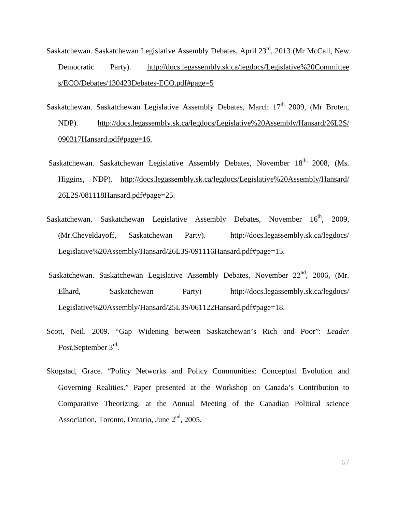- Saskatchewan. Saskatchewan Legislative Assembly Debates, April 23rd, 2013 (Mr McCall, New Democratic Party). [http://docs.legassembly.sk.ca/legdocs/Legislative%20Committee](http://docs.legassembly.sk.ca/legdocs/Legislative%20Committee%20s/ECO/Debates/130423Debates-ECO.pdf%23page=5) [s/ECO/Debates/130423Debates-ECO.pdf#page=5](http://docs.legassembly.sk.ca/legdocs/Legislative%20Committee%20s/ECO/Debates/130423Debates-ECO.pdf%23page=5)
- Saskatchewan. Saskatchewan Legislative Assembly Debates, March  $17<sup>th</sup>$  2009, (Mr Broten, NDP). [http://docs.legassembly.sk.ca/legdocs/Legislative%20Assembly/Hansard/26L2S/](http://docs.legassembly.sk.ca/legdocs/Legislative%2520Assembly/Hansard/26L2S/090317Hansard.pdf%23page=16) [090317Hansard.pdf#page=16.](http://docs.legassembly.sk.ca/legdocs/Legislative%2520Assembly/Hansard/26L2S/090317Hansard.pdf%23page=16)
- Saskatchewan. Saskatchewan Legislative Assembly Debates, November 18<sup>th,</sup> 2008, (Ms. Higgins, NDP). [http://docs.legassembly.sk.ca/legdocs/Legislative%20Assembly/Hansard/](http://docs.legassembly.sk.ca/legdocs/Legislative%2520Assembly/Hansard/26L2S/081118Hansard.pdf%23page=25) [26L2S/081118Hansard.pdf#page=25.](http://docs.legassembly.sk.ca/legdocs/Legislative%2520Assembly/Hansard/26L2S/081118Hansard.pdf%23page=25)
- Saskatchewan. Saskatchewan Legislative Assembly Debates, November 16<sup>th</sup>, 2009. (Mr.Cheveldayoff, Saskatchewan Party). [http://docs.legassembly.sk.ca/legdocs/](http://docs.legassembly.sk.ca/legdocs/Legislative%2520Assembly/Hansard/26L3S/091116Hansard.pdf%23page=15) [Legislative%20Assembly/Hansard/26L3S/091116Hansard.pdf#page=15.](http://docs.legassembly.sk.ca/legdocs/Legislative%2520Assembly/Hansard/26L3S/091116Hansard.pdf%23page=15)
- Saskatchewan. Saskatchewan Legislative Assembly Debates, November 22<sup>nd</sup>, 2006, (Mr. Elhard, Saskatchewan Party) [http://docs.legassembly.sk.ca/legdocs/](http://docs.legassembly.sk.ca/legdocs/Legislative%2520Assembly/Hansard/25L3S/061122Hansard.pdf%23page=18) [Legislative%20Assembly/Hansard/25L3S/061122Hansard.pdf#page=18.](http://docs.legassembly.sk.ca/legdocs/Legislative%2520Assembly/Hansard/25L3S/061122Hansard.pdf%23page=18)
- Scott, Neil. 2009. "Gap Widening between Saskatchewan's Rich and Poor": *Leader Post,*September 3rd.
- Skogstad, Grace. "Policy Networks and Policy Communities: Conceptual Evolution and Governing Realities." Paper presented at the Workshop on Canada's Contribution to Comparative Theorizing, at the Annual Meeting of the Canadian Political science Association, Toronto, Ontario, June 2<sup>nd</sup>, 2005.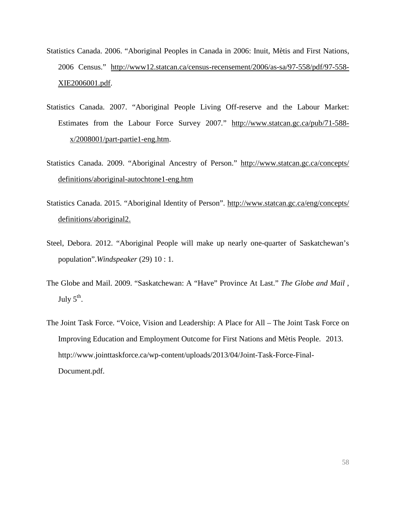- Statistics Canada. 2006. "Aboriginal Peoples in Canada in 2006: Inuit, Mètis and First Nations, 2006 Census." [http://www12.statcan.ca/census-recensement/2006/as-sa/97-558/pdf/97-558-](http://www12.statcan.ca/census-recensement/2006/as-sa/97-%09558/pdf/97-558-XIE2006001.pdf) [XIE2006001.pdf.](http://www12.statcan.ca/census-recensement/2006/as-sa/97-%09558/pdf/97-558-XIE2006001.pdf)
- Statistics Canada. 2007. "Aboriginal People Living Off-reserve and the Labour Market: Estimates from the Labour Force Survey 2007*.*" [http://www.statcan.gc.ca/pub/71-588](http://www.statcan.gc.ca/pub/71-588-x/2008001/part-partie1-eng.htm) [x/2008001/part-partie1-eng.htm.](http://www.statcan.gc.ca/pub/71-588-x/2008001/part-partie1-eng.htm)
- Statistics Canada. 2009. "Aboriginal Ancestry of Person." [http://www.statcan.gc.ca/concepts/](http://www.statcan.gc.ca/concepts/definitions/aboriginal-autochtone1-eng.htm) [definitions/aboriginal-autochtone1-eng.htm](http://www.statcan.gc.ca/concepts/definitions/aboriginal-autochtone1-eng.htm)
- Statistics Canada. 2015. "Aboriginal Identity of Person". [http://www.statcan.gc.ca/eng/concepts/](http://www.statcan.gc.ca/eng/concepts/definitions/aboriginal2) [definitions/aboriginal2.](http://www.statcan.gc.ca/eng/concepts/definitions/aboriginal2)
- Steel, Debora. 2012. "Aboriginal People will make up nearly one-quarter of Saskatchewan's population".*Windspeaker* (29) 10 : 1.
- The Globe and Mail. 2009. "Saskatchewan: A "Have" Province At Last." *The Globe and Mail* , July  $5<sup>th</sup>$ .
- The Joint Task Force. "Voice, Vision and Leadership: A Place for All The Joint Task Force on Improving Education and Employment Outcome for First Nations and Mètis People. 2013. [http://www.jointtaskforce.ca/wp-content/uploads/2013/04/Joint-Task-Force-Final-](http://www.jointtaskforce.ca/wp-content/uploads/2013/04/Joint-Task-Force-Final-Document.pdf)[Document.pdf.](http://www.jointtaskforce.ca/wp-content/uploads/2013/04/Joint-Task-Force-Final-Document.pdf)